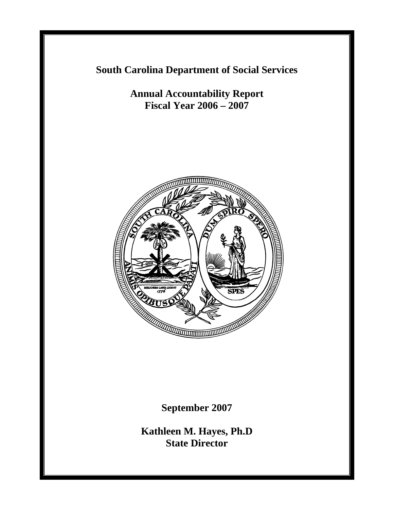**South Carolina Department of Social Services**

**Annual Accountability Report Fiscal Year 2006 – 2007**



**September 2007** 

**Kathleen M. Hayes, Ph.D State Director**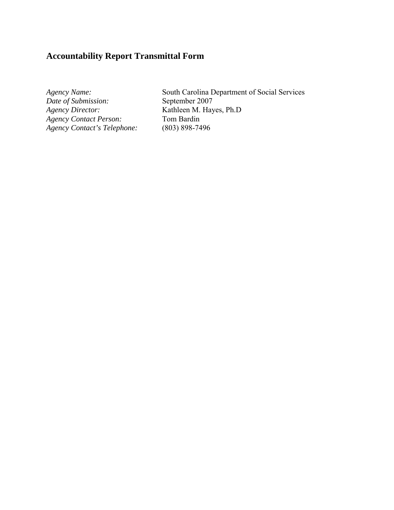# **Accountability Report Transmittal Form**

*Date of Submission: Agency Director:* **Kathleen M. Hayes, Ph.D**<br>*Agency Contact Person:* Tom Bardin *Agency Contact Person:* Tom Bardin<br> *Agency Contact's Telephone:* (803) 898-7496  $A$ gency Contact's Telephone:

*Agency Name:* South Carolina Department of Social Services<br> *Date of Submission:* September 2007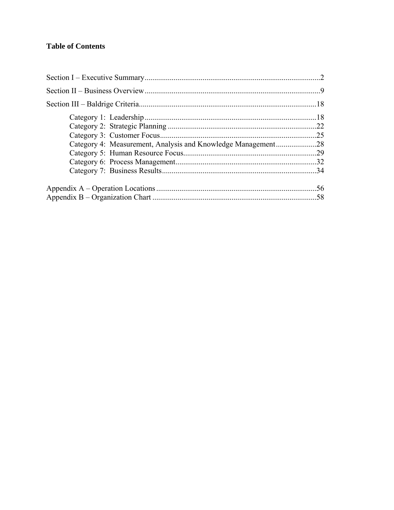# **Table of Contents**

| Category 4: Measurement, Analysis and Knowledge Management28 |     |
|--------------------------------------------------------------|-----|
|                                                              |     |
|                                                              |     |
|                                                              |     |
|                                                              | .56 |
|                                                              |     |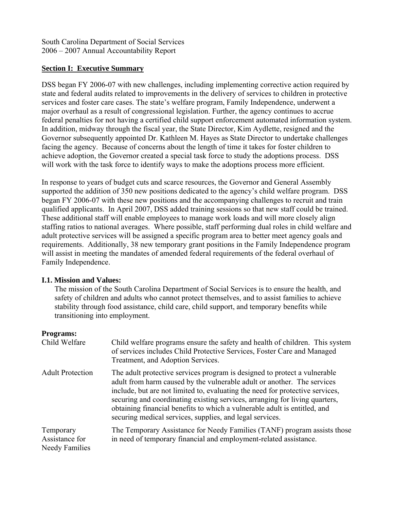South Carolina Department of Social Services 2006 – 2007 Annual Accountability Report

#### **Section I: Executive Summary**

DSS began FY 2006-07 with new challenges, including implementing corrective action required by state and federal audits related to improvements in the delivery of services to children in protective services and foster care cases. The state's welfare program, Family Independence, underwent a major overhaul as a result of congressional legislation. Further, the agency continues to accrue federal penalties for not having a certified child support enforcement automated information system. In addition, midway through the fiscal year, the State Director, Kim Aydlette, resigned and the Governor subsequently appointed Dr. Kathleen M. Hayes as State Director to undertake challenges facing the agency. Because of concerns about the length of time it takes for foster children to achieve adoption, the Governor created a special task force to study the adoptions process. DSS will work with the task force to identify ways to make the adoptions process more efficient.

In response to years of budget cuts and scarce resources, the Governor and General Assembly supported the addition of 350 new positions dedicated to the agency's child welfare program. DSS began FY 2006-07 with these new positions and the accompanying challenges to recruit and train qualified applicants. In April 2007, DSS added training sessions so that new staff could be trained. These additional staff will enable employees to manage work loads and will more closely align staffing ratios to national averages. Where possible, staff performing dual roles in child welfare and adult protective services will be assigned a specific program area to better meet agency goals and requirements. Additionally, 38 new temporary grant positions in the Family Independence program will assist in meeting the mandates of amended federal requirements of the federal overhaul of Family Independence.

### **I.1. Mission and Values:**

The mission of the South Carolina Department of Social Services is to ensure the health, and safety of children and adults who cannot protect themselves, and to assist families to achieve stability through food assistance, child care, child support, and temporary benefits while transitioning into employment.

#### **Programs:**

| Child Welfare                                        | Child welfare programs ensure the safety and health of children. This system<br>of services includes Child Protective Services, Foster Care and Managed<br>Treatment, and Adoption Services.                                                                                                                                                                                                                                                                  |
|------------------------------------------------------|---------------------------------------------------------------------------------------------------------------------------------------------------------------------------------------------------------------------------------------------------------------------------------------------------------------------------------------------------------------------------------------------------------------------------------------------------------------|
| <b>Adult Protection</b>                              | The adult protective services program is designed to protect a vulnerable<br>adult from harm caused by the vulnerable adult or another. The services<br>include, but are not limited to, evaluating the need for protective services,<br>securing and coordinating existing services, arranging for living quarters,<br>obtaining financial benefits to which a vulnerable adult is entitled, and<br>securing medical services, supplies, and legal services. |
| Temporary<br>Assistance for<br><b>Needy Families</b> | The Temporary Assistance for Needy Families (TANF) program assists those<br>in need of temporary financial and employment-related assistance.                                                                                                                                                                                                                                                                                                                 |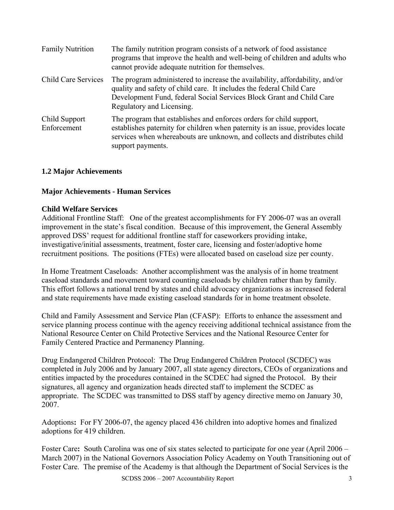| <b>Family Nutrition</b>      | The family nutrition program consists of a network of food assistance<br>programs that improve the health and well-being of children and adults who<br>cannot provide adequate nutrition for themselves.                                                  |
|------------------------------|-----------------------------------------------------------------------------------------------------------------------------------------------------------------------------------------------------------------------------------------------------------|
| <b>Child Care Services</b>   | The program administered to increase the availability, affordability, and/or<br>quality and safety of child care. It includes the federal Child Care<br>Development Fund, federal Social Services Block Grant and Child Care<br>Regulatory and Licensing. |
| Child Support<br>Enforcement | The program that establishes and enforces orders for child support,<br>establishes paternity for children when paternity is an issue, provides locate<br>services when whereabouts are unknown, and collects and distributes child<br>support payments.   |

# **1.2 Major Achievements**

### **Major Achievements - Human Services**

#### **Child Welfare Services**

Additional Frontline Staff: One of the greatest accomplishments for FY 2006-07 was an overall improvement in the state's fiscal condition. Because of this improvement, the General Assembly approved DSS' request for additional frontline staff for caseworkers providing intake, investigative/initial assessments, treatment, foster care, licensing and foster/adoptive home recruitment positions. The positions (FTEs) were allocated based on caseload size per county.

In Home Treatment Caseloads: Another accomplishment was the analysis of in home treatment caseload standards and movement toward counting caseloads by children rather than by family. This effort follows a national trend by states and child advocacy organizations as increased federal and state requirements have made existing caseload standards for in home treatment obsolete.

Child and Family Assessment and Service Plan (CFASP): Efforts to enhance the assessment and service planning process continue with the agency receiving additional technical assistance from the National Resource Center on Child Protective Services and the National Resource Center for Family Centered Practice and Permanency Planning.

Drug Endangered Children Protocol: The Drug Endangered Children Protocol (SCDEC) was completed in July 2006 and by January 2007, all state agency directors, CEOs of organizations and entities impacted by the procedures contained in the SCDEC had signed the Protocol. By their signatures, all agency and organization heads directed staff to implement the SCDEC as appropriate. The SCDEC was transmitted to DSS staff by agency directive memo on January 30, 2007.

Adoptions**:** For FY 2006-07, the agency placed 436 children into adoptive homes and finalized adoptions for 419 children.

Foster Care**:** South Carolina was one of six states selected to participate for one year (April 2006 – March 2007) in the National Governors Association Policy Academy on Youth Transitioning out of Foster Care. The premise of the Academy is that although the Department of Social Services is the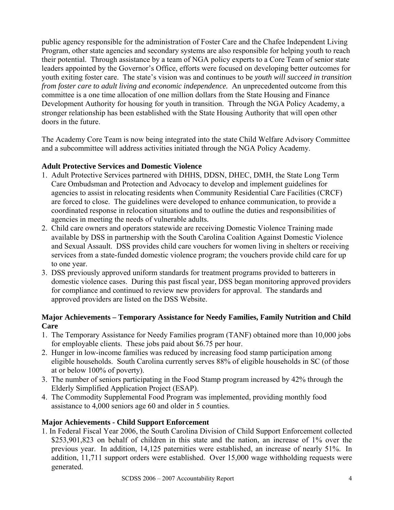public agency responsible for the administration of Foster Care and the Chafee Independent Living Program, other state agencies and secondary systems are also responsible for helping youth to reach their potential. Through assistance by a team of NGA policy experts to a Core Team of senior state leaders appointed by the Governor's Office, efforts were focused on developing better outcomes for youth exiting foster care. The state's vision was and continues to be *youth will succeed in transition from foster care to adult living and economic independence.* An unprecedented outcome from this committee is a one time allocation of one million dollars from the State Housing and Finance Development Authority for housing for youth in transition. Through the NGA Policy Academy, a stronger relationship has been established with the State Housing Authority that will open other doors in the future.

The Academy Core Team is now being integrated into the state Child Welfare Advisory Committee and a subcommittee will address activities initiated through the NGA Policy Academy.

### **Adult Protective Services and Domestic Violence**

- 1. Adult Protective Services partnered with DHHS, DDSN, DHEC, DMH, the State Long Term Care Ombudsman and Protection and Advocacy to develop and implement guidelines for agencies to assist in relocating residents when Community Residential Care Facilities (CRCF) are forced to close. The guidelines were developed to enhance communication, to provide a coordinated response in relocation situations and to outline the duties and responsibilities of agencies in meeting the needs of vulnerable adults.
- 2. Child care owners and operators statewide are receiving Domestic Violence Training made available by DSS in partnership with the South Carolina Coalition Against Domestic Violence and Sexual Assault. DSS provides child care vouchers for women living in shelters or receiving services from a state-funded domestic violence program; the vouchers provide child care for up to one year.
- 3. DSS previously approved uniform standards for treatment programs provided to batterers in domestic violence cases. During this past fiscal year, DSS began monitoring approved providers for compliance and continued to review new providers for approval. The standards and approved providers are listed on the DSS Website.

### **Major Achievements – Temporary Assistance for Needy Families, Family Nutrition and Child Care**

- 1.The Temporary Assistance for Needy Families program (TANF) obtained more than 10,000 jobs for employable clients. These jobs paid about \$6.75 per hour.
- 2. Hunger in low-income families was reduced by increasing food stamp participation among eligible households. South Carolina currently serves 88% of eligible households in SC (of those at or below 100% of poverty).
- 3.The number of seniors participating in the Food Stamp program increased by 42% through the Elderly Simplified Application Project (ESAP).
- 4.The Commodity Supplemental Food Program was implemented, providing monthly food assistance to 4,000 seniors age 60 and older in 5 counties.

### **Major Achievements - Child Support Enforcement**

1. In Federal Fiscal Year 2006, the South Carolina Division of Child Support Enforcement collected \$253,901,823 on behalf of children in this state and the nation, an increase of 1% over the previous year. In addition, 14,125 paternities were established, an increase of nearly 51%. In addition, 11,711 support orders were established. Over 15,000 wage withholding requests were generated.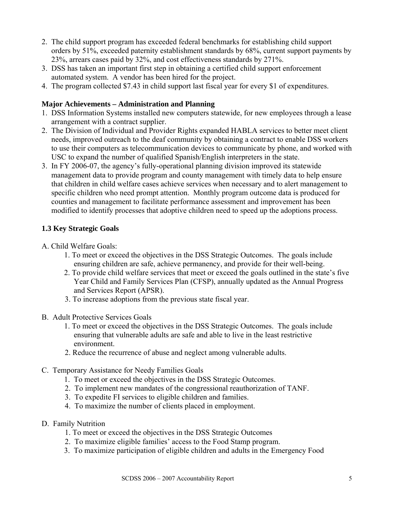- 2. The child support program has exceeded federal benchmarks for establishing child support orders by 51%, exceeded paternity establishment standards by 68%, current support payments by 23%, arrears cases paid by 32%, and cost effectiveness standards by 271%.
- 3. DSS has taken an important first step in obtaining a certified child support enforcement automated system. A vendor has been hired for the project.
- 4. The program collected \$7.43 in child support last fiscal year for every \$1 of expenditures.

# **Major Achievements – Administration and Planning**

- 1. DSS Information Systems installed new computers statewide, for new employees through a lease arrangement with a contract supplier.
- 2. The Division of Individual and Provider Rights expanded HABLA services to better meet client needs, improved outreach to the deaf community by obtaining a contract to enable DSS workers to use their computers as telecommunication devices to communicate by phone, and worked with USC to expand the number of qualified Spanish/English interpreters in the state.
- 3. In FY 2006-07, the agency's fully-operational planning division improved its statewide management data to provide program and county management with timely data to help ensure that children in child welfare cases achieve services when necessary and to alert management to specific children who need prompt attention. Monthly program outcome data is produced for counties and management to facilitate performance assessment and improvement has been modified to identify processes that adoptive children need to speed up the adoptions process.

# **1.3 Key Strategic Goals**

- A. Child Welfare Goals:
	- 1. To meet or exceed the objectives in the DSS Strategic Outcomes. The goals include ensuring children are safe, achieve permanency, and provide for their well-being.
	- 2. To provide child welfare services that meet or exceed the goals outlined in the state's five Year Child and Family Services Plan (CFSP), annually updated as the Annual Progress and Services Report (APSR).
	- 3. To increase adoptions from the previous state fiscal year.
- B. Adult Protective Services Goals
	- 1. To meet or exceed the objectives in the DSS Strategic Outcomes. The goals include ensuring that vulnerable adults are safe and able to live in the least restrictive environment.
	- 2. Reduce the recurrence of abuse and neglect among vulnerable adults.
- C. Temporary Assistance for Needy Families Goals
	- 1. To meet or exceed the objectives in the DSS Strategic Outcomes.
	- 2. To implement new mandates of the congressional reauthorization of TANF.
	- 3. To expedite FI services to eligible children and families.
	- 4. To maximize the number of clients placed in employment.
- D. Family Nutrition
	- 1. To meet or exceed the objectives in the DSS Strategic Outcomes
	- 2. To maximize eligible families' access to the Food Stamp program.
	- 3. To maximize participation of eligible children and adults in the Emergency Food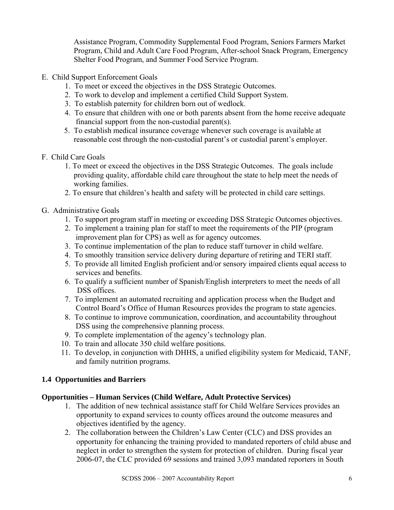Assistance Program, Commodity Supplemental Food Program, Seniors Farmers Market Program, Child and Adult Care Food Program, After-school Snack Program, Emergency Shelter Food Program, and Summer Food Service Program.

- E. Child Support Enforcement Goals
	- 1. To meet or exceed the objectives in the DSS Strategic Outcomes.
	- 2. To work to develop and implement a certified Child Support System.
	- 3. To establish paternity for children born out of wedlock.
	- 4. To ensure that children with one or both parents absent from the home receive adequate financial support from the non-custodial parent(s).
	- 5. To establish medical insurance coverage whenever such coverage is available at reasonable cost through the non-custodial parent's or custodial parent's employer.
- F. Child Care Goals
	- 1. To meet or exceed the objectives in the DSS Strategic Outcomes. The goals include providing quality, affordable child care throughout the state to help meet the needs of working families.
	- 2. To ensure that children's health and safety will be protected in child care settings.
- G. Administrative Goals
	- 1. To support program staff in meeting or exceeding DSS Strategic Outcomes objectives.
	- 2. To implement a training plan for staff to meet the requirements of the PIP (program improvement plan for CPS) as well as for agency outcomes.
	- 3. To continue implementation of the plan to reduce staff turnover in child welfare.
	- 4. To smoothly transition service delivery during departure of retiring and TERI staff.
	- 5. To provide all limited English proficient and/or sensory impaired clients equal access to services and benefits.
	- 6. To qualify a sufficient number of Spanish/English interpreters to meet the needs of all DSS offices.
	- 7. To implement an automated recruiting and application process when the Budget and Control Board's Office of Human Resources provides the program to state agencies.
	- 8. To continue to improve communication, coordination, and accountability throughout DSS using the comprehensive planning process.
	- 9. To complete implementation of the agency's technology plan.
	- 10. To train and allocate 350 child welfare positions.
	- 11. To develop, in conjunction with DHHS, a unified eligibility system for Medicaid, TANF, and family nutrition programs.

# **1.4 Opportunities and Barriers**

### **Opportunities – Human Services (Child Welfare, Adult Protective Services)**

- 1. The addition of new technical assistance staff for Child Welfare Services provides an opportunity to expand services to county offices around the outcome measures and objectives identified by the agency.
- 2. The collaboration between the Children's Law Center (CLC) and DSS provides an opportunity for enhancing the training provided to mandated reporters of child abuse and neglect in order to strengthen the system for protection of children. During fiscal year 2006-07, the CLC provided 69 sessions and trained 3,093 mandated reporters in South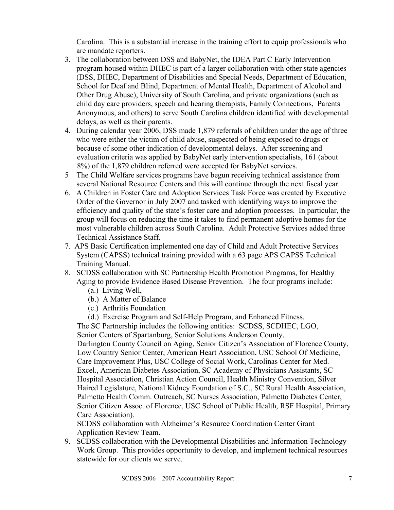Carolina. This is a substantial increase in the training effort to equip professionals who are mandate reporters.

- 3. The collaboration between DSS and BabyNet, the IDEA Part C Early Intervention program housed within DHEC is part of a larger collaboration with other state agencies (DSS, DHEC, Department of Disabilities and Special Needs, Department of Education, School for Deaf and Blind, Department of Mental Health, Department of Alcohol and Other Drug Abuse), University of South Carolina, and private organizations (such as child day care providers, speech and hearing therapists, Family Connections, Parents Anonymous, and others) to serve South Carolina children identified with developmental delays, as well as their parents.
- 4. During calendar year 2006, DSS made 1,879 referrals of children under the age of three who were either the victim of child abuse, suspected of being exposed to drugs or because of some other indication of developmental delays. After screening and evaluation criteria was applied by BabyNet early intervention specialists, 161 (about 8%) of the 1,879 children referred were accepted for BabyNet services.
- 5 The Child Welfare services programs have begun receiving technical assistance from several National Resource Centers and this will continue through the next fiscal year.
- 6. A Children in Foster Care and Adoption Services Task Force was created by Executive Order of the Governor in July 2007 and tasked with identifying ways to improve the efficiency and quality of the state's foster care and adoption processes. In particular, the group will focus on reducing the time it takes to find permanent adoptive homes for the most vulnerable children across South Carolina. Adult Protective Services added three Technical Assistance Staff.
- 7. APS Basic Certification implemented one day of Child and Adult Protective Services System (CAPSS) technical training provided with a 63 page APS CAPSS Technical Training Manual.
- 8. SCDSS collaboration with SC Partnership Health Promotion Programs, for Healthy Aging to provide Evidence Based Disease Prevention. The four programs include:
	- (a.) Living Well,
	- (b.) A Matter of Balance
	- (c.) Arthritis Foundation
	- (d.) Exercise Program and Self-Help Program, and Enhanced Fitness.

The SC Partnership includes the following entities: SCDSS, SCDHEC, LGO, Senior Centers of Spartanburg, Senior Solutions Anderson County, Darlington County Council on Aging, Senior Citizen's Association of Florence County, Low Country Senior Center, American Heart Association, USC School Of Medicine, Care Improvement Plus, USC College of Social Work, Carolinas Center for Med. Excel., American Diabetes Association, SC Academy of Physicians Assistants, SC Hospital Association, Christian Action Council, Health Ministry Convention, Silver Haired Legislature, National Kidney Foundation of S.C., SC Rural Health Association, Palmetto Health Comm. Outreach, SC Nurses Association, Palmetto Diabetes Center, Senior Citizen Assoc. of Florence, USC School of Public Health, RSF Hospital, Primary

Care Association).

SCDSS collaboration with Alzheimer's Resource Coordination Center Grant Application Review Team.

9. SCDSS collaboration with the Developmental Disabilities and Information Technology Work Group. This provides opportunity to develop, and implement technical resources statewide for our clients we serve.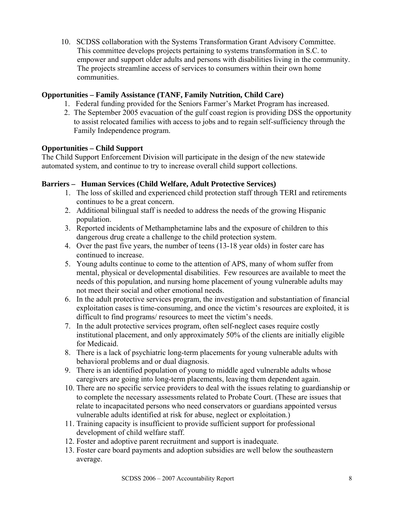10. SCDSS collaboration with the Systems Transformation Grant Advisory Committee. This committee develops projects pertaining to systems transformation in S.C. to empower and support older adults and persons with disabilities living in the community. The projects streamline access of services to consumers within their own home communities.

### **Opportunities – Family Assistance (TANF, Family Nutrition, Child Care)**

- 1. Federal funding provided for the Seniors Farmer's Market Program has increased.
- 2. The September 2005 evacuation of the gulf coast region is providing DSS the opportunity to assist relocated families with access to jobs and to regain self-sufficiency through the Family Independence program.

### **Opportunities – Child Support**

The Child Support Enforcement Division will participate in the design of the new statewide automated system, and continue to try to increase overall child support collections.

### **Barriers – Human Services (Child Welfare, Adult Protective Services)**

- 1. The loss of skilled and experienced child protection staff through TERI and retirements continues to be a great concern.
- 2. Additional bilingual staff is needed to address the needs of the growing Hispanic population.
- 3. Reported incidents of Methamphetamine labs and the exposure of children to this dangerous drug create a challenge to the child protection system.
- 4. Over the past five years, the number of teens (13-18 year olds) in foster care has continued to increase.
- 5. Young adults continue to come to the attention of APS, many of whom suffer from mental, physical or developmental disabilities. Few resources are available to meet the needs of this population, and nursing home placement of young vulnerable adults may not meet their social and other emotional needs.
- 6. In the adult protective services program, the investigation and substantiation of financial exploitation cases is time-consuming, and once the victim's resources are exploited, it is difficult to find programs/ resources to meet the victim's needs.
- 7. In the adult protective services program, often self-neglect cases require costly institutional placement, and only approximately 50% of the clients are initially eligible for Medicaid.
- 8. There is a lack of psychiatric long-term placements for young vulnerable adults with behavioral problems and or dual diagnosis.
- 9. There is an identified population of young to middle aged vulnerable adults whose caregivers are going into long-term placements, leaving them dependent again.
- 10. There are no specific service providers to deal with the issues relating to guardianship or to complete the necessary assessments related to Probate Court. (These are issues that relate to incapacitated persons who need conservators or guardians appointed versus vulnerable adults identified at risk for abuse, neglect or exploitation.)
- 11. Training capacity is insufficient to provide sufficient support for professional development of child welfare staff.
- 12. Foster and adoptive parent recruitment and support is inadequate.
- 13. Foster care board payments and adoption subsidies are well below the southeastern average.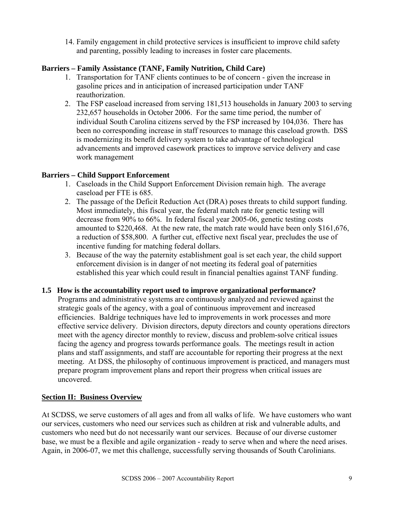14. Family engagement in child protective services is insufficient to improve child safety and parenting, possibly leading to increases in foster care placements.

### **Barriers – Family Assistance (TANF, Family Nutrition, Child Care)**

- 1. Transportation for TANF clients continues to be of concern given the increase in gasoline prices and in anticipation of increased participation under TANF reauthorization.
- 2. The FSP caseload increased from serving 181,513 households in January 2003 to serving 232,657 households in October 2006. For the same time period, the number of individual South Carolina citizens served by the FSP increased by 104,036. There has been no corresponding increase in staff resources to manage this caseload growth. DSS is modernizing its benefit delivery system to take advantage of technological advancements and improved casework practices to improve service delivery and case work management

# **Barriers – Child Support Enforcement**

- 1. Caseloads in the Child Support Enforcement Division remain high. The average caseload per FTE is 685.
- 2. The passage of the Deficit Reduction Act (DRA) poses threats to child support funding. Most immediately, this fiscal year, the federal match rate for genetic testing will decrease from 90% to 66%. In federal fiscal year 2005-06, genetic testing costs amounted to \$220,468. At the new rate, the match rate would have been only \$161,676, a reduction of \$58,800. A further cut, effective next fiscal year, precludes the use of incentive funding for matching federal dollars.
- 3. Because of the way the paternity establishment goal is set each year, the child support enforcement division is in danger of not meeting its federal goal of paternities established this year which could result in financial penalties against TANF funding.

### **1.5 How is the accountability report used to improve organizational performance?**

Programs and administrative systems are continuously analyzed and reviewed against the strategic goals of the agency, with a goal of continuous improvement and increased efficiencies. Baldrige techniques have led to improvements in work processes and more effective service delivery. Division directors, deputy directors and county operations directors meet with the agency director monthly to review, discuss and problem-solve critical issues facing the agency and progress towards performance goals. The meetings result in action plans and staff assignments, and staff are accountable for reporting their progress at the next meeting. At DSS, the philosophy of continuous improvement is practiced, and managers must prepare program improvement plans and report their progress when critical issues are uncovered.

### **Section II: Business Overview**

At SCDSS, we serve customers of all ages and from all walks of life. We have customers who want our services, customers who need our services such as children at risk and vulnerable adults, and customers who need but do not necessarily want our services. Because of our diverse customer base, we must be a flexible and agile organization - ready to serve when and where the need arises. Again, in 2006-07, we met this challenge, successfully serving thousands of South Carolinians.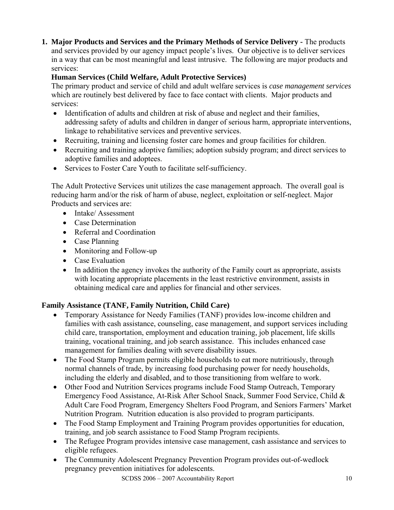**1. Major Products and Services and the Primary Methods of Service Delivery -** The products and services provided by our agency impact people's lives. Our objective is to deliver services in a way that can be most meaningful and least intrusive. The following are major products and services:

# **Human Services (Child Welfare, Adult Protective Services)**

The primary product and service of child and adult welfare services is *case management services* which are routinely best delivered by face to face contact with clients. Major products and services:

- Identification of adults and children at risk of abuse and neglect and their families, addressing safety of adults and children in danger of serious harm, appropriate interventions, linkage to rehabilitative services and preventive services.
- Recruiting, training and licensing foster care homes and group facilities for children.
- Recruiting and training adoptive families; adoption subsidy program; and direct services to adoptive families and adoptees.
- Services to Foster Care Youth to facilitate self-sufficiency.

The Adult Protective Services unit utilizes the case management approach. The overall goal is reducing harm and/or the risk of harm of abuse, neglect, exploitation or self-neglect. Major Products and services are:

- Intake/Assessment
- Case Determination
- Referral and Coordination
- Case Planning
- Monitoring and Follow-up
- Case Evaluation
- In addition the agency invokes the authority of the Family court as appropriate, assists with locating appropriate placements in the least restrictive environment, assists in obtaining medical care and applies for financial and other services.

# **Family Assistance (TANF, Family Nutrition, Child Care)**

- Temporary Assistance for Needy Families (TANF) provides low-income children and families with cash assistance, counseling, case management, and support services including child care, transportation, employment and education training, job placement, life skills training, vocational training, and job search assistance. This includes enhanced case management for families dealing with severe disability issues.
- The Food Stamp Program permits eligible households to eat more nutritiously, through normal channels of trade, by increasing food purchasing power for needy households, including the elderly and disabled, and to those transitioning from welfare to work.
- Other Food and Nutrition Services programs include Food Stamp Outreach, Temporary Emergency Food Assistance, At-Risk After School Snack, Summer Food Service, Child & Adult Care Food Program, Emergency Shelters Food Program, and Seniors Farmers' Market Nutrition Program. Nutrition education is also provided to program participants.
- The Food Stamp Employment and Training Program provides opportunities for education, training, and job search assistance to Food Stamp Program recipients.
- The Refugee Program provides intensive case management, cash assistance and services to eligible refugees.
- The Community Adolescent Pregnancy Prevention Program provides out-of-wedlock pregnancy prevention initiatives for adolescents.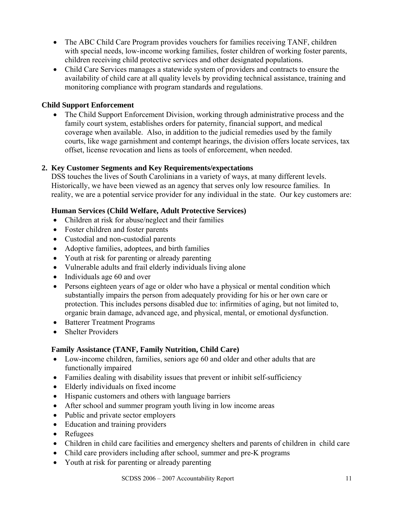- The ABC Child Care Program provides vouchers for families receiving TANF, children with special needs, low-income working families, foster children of working foster parents, children receiving child protective services and other designated populations.
- Child Care Services manages a statewide system of providers and contracts to ensure the availability of child care at all quality levels by providing technical assistance, training and monitoring compliance with program standards and regulations.

# **Child Support Enforcement**

• The Child Support Enforcement Division, working through administrative process and the family court system, establishes orders for paternity, financial support, and medical coverage when available. Also, in addition to the judicial remedies used by the family courts, like wage garnishment and contempt hearings, the division offers locate services, tax offset, license revocation and liens as tools of enforcement, when needed.

### **2. Key Customer Segments and Key Requirements/expectations**

DSS touches the lives of South Carolinians in a variety of ways, at many different levels. Historically, we have been viewed as an agency that serves only low resource families. In reality, we are a potential service provider for any individual in the state. Our key customers are:

### **Human Services (Child Welfare, Adult Protective Services)**

- Children at risk for abuse/neglect and their families
- Foster children and foster parents
- Custodial and non-custodial parents
- Adoptive families, adoptees, and birth families
- Youth at risk for parenting or already parenting
- Vulnerable adults and frail elderly individuals living alone
- Individuals age 60 and over
- Persons eighteen years of age or older who have a physical or mental condition which substantially impairs the person from adequately providing for his or her own care or protection. This includes persons disabled due to: infirmities of aging, but not limited to, organic brain damage, advanced age, and physical, mental, or emotional dysfunction.
- Batterer Treatment Programs
- Shelter Providers

#### **Family Assistance (TANF, Family Nutrition, Child Care)**

- Low-income children, families, seniors age 60 and older and other adults that are functionally impaired
- Families dealing with disability issues that prevent or inhibit self-sufficiency
- Elderly individuals on fixed income
- Hispanic customers and others with language barriers
- After school and summer program youth living in low income areas
- Public and private sector employers
- Education and training providers
- Refugees
- Children in child care facilities and emergency shelters and parents of children in child care
- Child care providers including after school, summer and pre-K programs
- Youth at risk for parenting or already parenting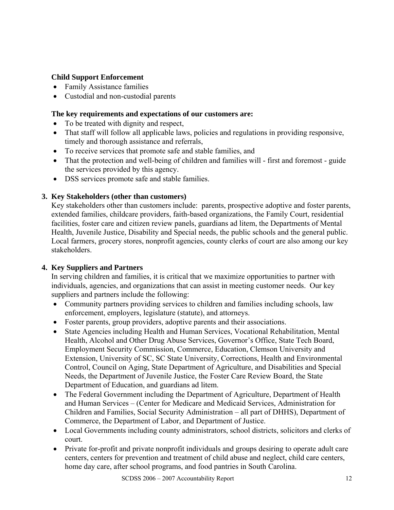### **Child Support Enforcement**

- Family Assistance families
- Custodial and non-custodial parents

### **The key requirements and expectations of our customers are:**

- To be treated with dignity and respect,
- That staff will follow all applicable laws, policies and regulations in providing responsive, timely and thorough assistance and referrals,
- To receive services that promote safe and stable families, and
- That the protection and well-being of children and families will first and foremost guide the services provided by this agency.
- DSS services promote safe and stable families.

### **3. Key Stakeholders (other than customers)**

Key stakeholders other than customers include: parents, prospective adoptive and foster parents, extended families, childcare providers, faith-based organizations, the Family Court, residential facilities, foster care and citizen review panels, guardians ad litem, the Departments of Mental Health, Juvenile Justice, Disability and Special needs, the public schools and the general public. Local farmers, grocery stores, nonprofit agencies, county clerks of court are also among our key stakeholders.

### **4. Key Suppliers and Partners**

In serving children and families, it is critical that we maximize opportunities to partner with individuals, agencies, and organizations that can assist in meeting customer needs. Our key suppliers and partners include the following:

- Community partners providing services to children and families including schools, law enforcement, employers, legislature (statute), and attorneys.
- Foster parents, group providers, adoptive parents and their associations.
- State Agencies including Health and Human Services, Vocational Rehabilitation, Mental Health, Alcohol and Other Drug Abuse Services, Governor's Office, State Tech Board, Employment Security Commission, Commerce, Education, Clemson University and Extension, University of SC, SC State University, Corrections, Health and Environmental Control, Council on Aging, State Department of Agriculture, and Disabilities and Special Needs, the Department of Juvenile Justice, the Foster Care Review Board, the State Department of Education, and guardians ad litem.
- The Federal Government including the Department of Agriculture, Department of Health and Human Services – (Center for Medicare and Medicaid Services, Administration for Children and Families, Social Security Administration – all part of DHHS), Department of Commerce, the Department of Labor, and Department of Justice.
- Local Governments including county administrators, school districts, solicitors and clerks of court.
- Private for-profit and private nonprofit individuals and groups desiring to operate adult care centers, centers for prevention and treatment of child abuse and neglect, child care centers, home day care, after school programs, and food pantries in South Carolina.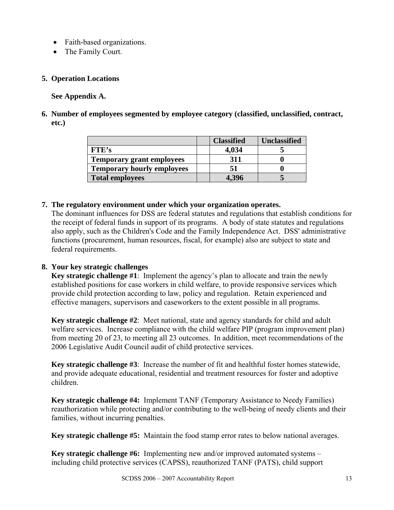- Faith-based organizations.
- The Family Court.

### **5. Operation Locations**

**See Appendix A.** 

**6. Number of employees segmented by employee category (classified, unclassified, contract, etc.)** 

|                                   | <b>Classified</b> | <b>Unclassified</b> |
|-----------------------------------|-------------------|---------------------|
| FTE's                             | 4,034             |                     |
| <b>Temporary grant employees</b>  | 311               |                     |
| <b>Temporary hourly employees</b> |                   |                     |
| <b>Total employees</b>            | 4,396             |                     |

### **7. The regulatory environment under which your organization operates.**

The dominant influences for DSS are federal statutes and regulations that establish conditions for the receipt of federal funds in support of its programs. A body of state statutes and regulations also apply, such as the Children's Code and the Family Independence Act. DSS' administrative functions (procurement, human resources, fiscal, for example) also are subject to state and federal requirements.

### **8. Your key strategic challenges**

**Key strategic challenge #1**: Implement the agency's plan to allocate and train the newly established positions for case workers in child welfare, to provide responsive services which provide child protection according to law, policy and regulation. Retain experienced and effective managers, supervisors and caseworkers to the extent possible in all programs.

**Key strategic challenge #2**: Meet national, state and agency standards for child and adult welfare services. Increase compliance with the child welfare PIP (program improvement plan) from meeting 20 of 23, to meeting all 23 outcomes. In addition, meet recommendations of the 2006 Legislative Audit Council audit of child protective services.

**Key strategic challenge #3**: Increase the number of fit and healthful foster homes statewide, and provide adequate educational, residential and treatment resources for foster and adoptive children.

**Key strategic challenge #4:** Implement TANF (Temporary Assistance to Needy Families) reauthorization while protecting and/or contributing to the well-being of needy clients and their families, without incurring penalties.

**Key strategic challenge #5:** Maintain the food stamp error rates to below national averages.

**Key strategic challenge #6:** Implementing new and/or improved automated systems – including child protective services (CAPSS), reauthorized TANF (PATS), child support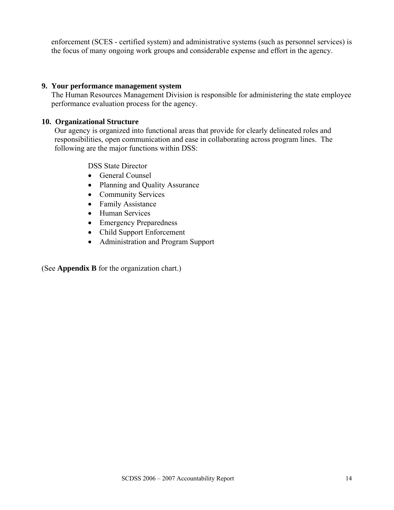enforcement (SCES - certified system) and administrative systems (such as personnel services) is the focus of many ongoing work groups and considerable expense and effort in the agency.

#### **9. Your performance management system**

The Human Resources Management Division is responsible for administering the state employee performance evaluation process for the agency.

#### **10. Organizational Structure**

Our agency is organized into functional areas that provide for clearly delineated roles and responsibilities, open communication and ease in collaborating across program lines. The following are the major functions within DSS:

DSS State Director

- General Counsel
- Planning and Quality Assurance
- Community Services
- Family Assistance
- Human Services
- Emergency Preparedness
- Child Support Enforcement
- Administration and Program Support

(See **Appendix B** for the organization chart.)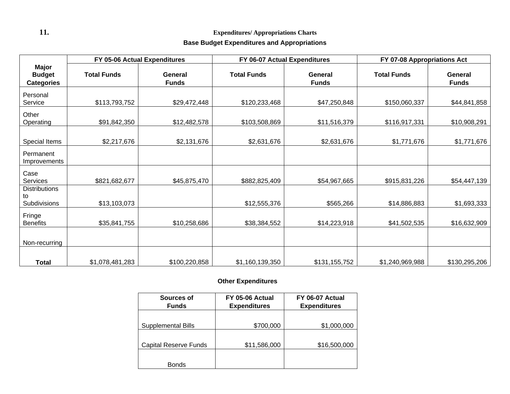# **11. Expenditures/ Appropriations Charts**

### **Base Budget Expenditures and Appropriations**

|                                                    | FY 05-06 Actual Expenditures |                         | FY 06-07 Actual Expenditures |                         | FY 07-08 Appropriations Act |                         |  |
|----------------------------------------------------|------------------------------|-------------------------|------------------------------|-------------------------|-----------------------------|-------------------------|--|
| <b>Major</b><br><b>Budget</b><br><b>Categories</b> | <b>Total Funds</b>           | General<br><b>Funds</b> | <b>Total Funds</b>           | General<br><b>Funds</b> | <b>Total Funds</b>          | General<br><b>Funds</b> |  |
| Personal<br>Service                                | \$113,793,752                | \$29,472,448            | \$120,233,468                | \$47,250,848            | \$150,060,337               | \$44,841,858            |  |
| Other<br>Operating                                 | \$91,842,350                 | \$12,482,578            | \$103,508,869                | \$11,516,379            | \$116,917,331               | \$10,908,291            |  |
| Special Items                                      | \$2,217,676                  | \$2,131,676             | \$2,631,676                  | \$2,631,676             | \$1,771,676                 | \$1,771,676             |  |
| Permanent<br>Improvements                          |                              |                         |                              |                         |                             |                         |  |
| Case<br>Services                                   | \$821,682,677                | \$45,875,470            | \$882,825,409                | \$54,967,665            | \$915,831,226               | \$54,447,139            |  |
| <b>Distributions</b><br>to<br>Subdivisions         | \$13,103,073                 |                         | \$12,555,376                 | \$565,266               | \$14,886,883                | \$1,693,333             |  |
| Fringe<br><b>Benefits</b>                          | \$35,841,755                 | \$10,258,686            | \$38,384,552                 | \$14,223,918            | \$41,502,535                | \$16,632,909            |  |
| Non-recurring                                      |                              |                         |                              |                         |                             |                         |  |
| <b>Total</b>                                       | \$1,078,481,283              | \$100,220,858           | \$1,160,139,350              | \$131,155,752           | \$1,240,969,988             | \$130,295,206           |  |

### **Other Expenditures**

| Sources of<br><b>Funds</b>   | FY 05-06 Actual<br><b>Expenditures</b> | FY 06-07 Actual<br><b>Expenditures</b> |
|------------------------------|----------------------------------------|----------------------------------------|
|                              |                                        |                                        |
| Supplemental Bills           | \$700,000                              | \$1,000,000                            |
|                              |                                        |                                        |
| <b>Capital Reserve Funds</b> | \$11,586,000                           | \$16,500,000                           |
|                              |                                        |                                        |
| <b>Bonds</b>                 |                                        |                                        |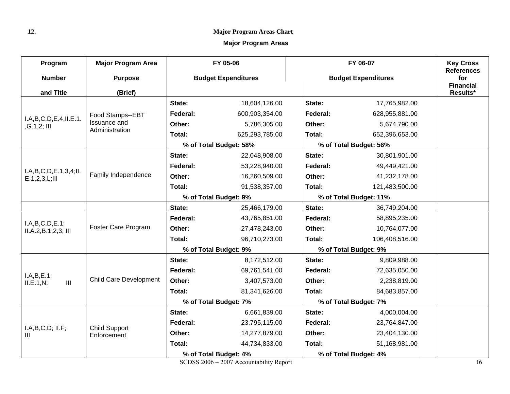#### **12. Major Program Areas Chart**

### **Major Program Areas**

| Program                              | <b>Major Program Area</b>     | FY 05-06                   |                        |          | FY 06-07                   |                              |
|--------------------------------------|-------------------------------|----------------------------|------------------------|----------|----------------------------|------------------------------|
| <b>Number</b>                        | <b>Purpose</b>                | <b>Budget Expenditures</b> |                        |          | <b>Budget Expenditures</b> |                              |
| and Title                            | (Brief)                       |                            |                        |          |                            | <b>Financial</b><br>Results* |
|                                      |                               | State:                     | 18,604,126.00          | State:   | 17,765,982.00              |                              |
|                                      | Food Stamps--EBT              | Federal:                   | 600,903,354.00         | Federal: | 628,955,881.00             |                              |
| I.A,B,C,D,E.4,II.E.1.<br>,G.1,2; III | <b>Issuance and</b>           | Other:                     | 5,786,305.00           | Other:   | 5,674,790.00               |                              |
|                                      | Administration                | Total:                     | 625,293,785.00         | Total:   | 652,396,653.00             |                              |
|                                      |                               |                            | % of Total Budget: 58% |          | % of Total Budget: 56%     |                              |
|                                      |                               | State:                     | 22,048,908.00          | State:   | 30,801,901.00              |                              |
| I.A.B.C.D.E.1,3,4;II.                |                               | Federal:                   | 53,228,940.00          | Federal: | 49,449,421.00              |                              |
| E.1, 2, 3, L; III                    | Family Independence           | Other:                     | 16,260,509.00          | Other:   | 41,232,178.00              |                              |
|                                      |                               | Total:                     | 91,538,357.00          | Total:   | 121,483,500.00             |                              |
|                                      |                               | % of Total Budget: 9%      |                        |          | % of Total Budget: 11%     |                              |
|                                      |                               | State:                     | 25,466,179.00          | State:   | 36,749,204.00              |                              |
| I.A,B,C,D,E.1;                       | Foster Care Program           | Federal:                   | 43,765,851.00          | Federal: | 58,895,235.00              |                              |
| ILA.2, B.1, 2, 3; III                |                               | Other:                     | 27,478,243.00          | Other:   | 10,764,077.00              |                              |
|                                      |                               | Total:                     | 96,710,273.00          | Total:   | 106,408,516.00             |                              |
|                                      |                               |                            | % of Total Budget: 9%  |          | % of Total Budget: 9%      |                              |
|                                      |                               | State:                     | 8,172,512.00           | State:   | 9,809,988.00               |                              |
| I.A.B.E.1;                           |                               | Federal:                   | 69,761,541.00          | Federal: | 72,635,050.00              |                              |
| $\mathbf{III}$<br>ILE.1, N;          | <b>Child Care Development</b> | Other:                     | 3,407,573.00           | Other:   | 2,238,819.00               |                              |
|                                      |                               | Total:                     | 81,341,626.00          | Total:   | 84,683,857.00              |                              |
|                                      |                               |                            | % of Total Budget: 7%  |          | % of Total Budget: 7%      |                              |
|                                      |                               | State:                     | 6,661,839.00           | State:   | 4,000,004.00               |                              |
| I.A,B,C,D; II.F;                     | <b>Child Support</b>          | Federal:                   | 23,795,115.00          | Federal: | 23,764,847.00              |                              |
| Ш                                    | Enforcement                   | Other:                     | 14,277,879.00          | Other:   | 23,404,130.00              |                              |
|                                      |                               | Total:                     | 44,734,833.00          | Total:   | 51,168,981.00              |                              |
|                                      |                               |                            | % of Total Budget: 4%  |          | % of Total Budget: 4%      |                              |

SCDSS 2006 – 2007 Accountability Report 16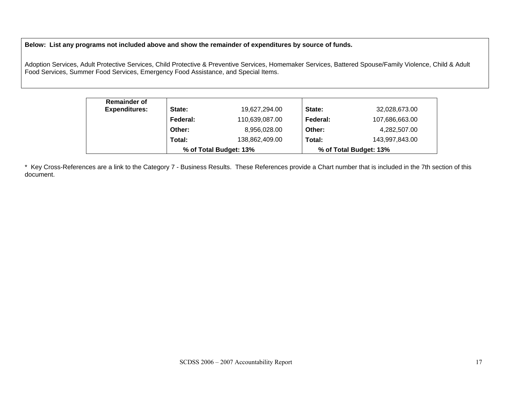**Below: List any programs not included above and show the remainder of expenditures by source of funds.** 

Adoption Services, Adult Protective Services, Child Protective & Preventive Services, Homemaker Services, Battered Spouse/Family Violence, Child & Adult Food Services, Summer Food Services, Emergency Food Assistance, and Special Items.

| <b>Remainder of</b>  |          |                        |          |                        |
|----------------------|----------|------------------------|----------|------------------------|
| <b>Expenditures:</b> | State:   | 19,627,294.00          | State:   | 32,028,673.00          |
|                      | Federal: | 110,639,087.00         | Federal: | 107,686,663.00         |
|                      | Other:   | 8,956,028.00           | Other:   | 4,282,507.00           |
|                      | Total:   | 138,862,409.00         | Total:   | 143,997,843.00         |
|                      |          | % of Total Budget: 13% |          | % of Total Budget: 13% |

\* Key Cross-References are a link to the Category 7 - Business Results. These References provide a Chart number that is included in the 7th section of this document.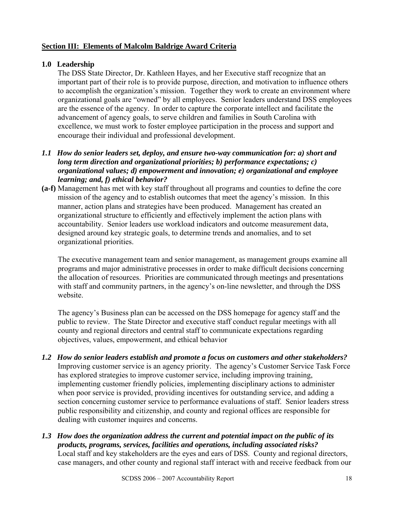### **Section III: Elements of Malcolm Baldrige Award Criteria**

### **1.0 Leadership**

The DSS State Director, Dr. Kathleen Hayes, and her Executive staff recognize that an important part of their role is to provide purpose, direction, and motivation to influence others to accomplish the organization's mission. Together they work to create an environment where organizational goals are "owned" by all employees. Senior leaders understand DSS employees are the essence of the agency. In order to capture the corporate intellect and facilitate the advancement of agency goals, to serve children and families in South Carolina with excellence, we must work to foster employee participation in the process and support and encourage their individual and professional development.

### *1.1 How do senior leaders set, deploy, and ensure two-way communication for: a) short and long term direction and organizational priorities; b) performance expectations; c) organizational values; d) empowerment and innovation; e) organizational and employee learning; and, f) ethical behavior?*

**(a-f)** Management has met with key staff throughout all programs and counties to define the core mission of the agency and to establish outcomes that meet the agency's mission. In this manner, action plans and strategies have been produced. Management has created an organizational structure to efficiently and effectively implement the action plans with accountability. Senior leaders use workload indicators and outcome measurement data, designed around key strategic goals, to determine trends and anomalies, and to set organizational priorities.

The executive management team and senior management, as management groups examine all programs and major administrative processes in order to make difficult decisions concerning the allocation of resources. Priorities are communicated through meetings and presentations with staff and community partners, in the agency's on-line newsletter, and through the DSS website.

The agency's Business plan can be accessed on the DSS homepage for agency staff and the public to review. The State Director and executive staff conduct regular meetings with all county and regional directors and central staff to communicate expectations regarding objectives, values, empowerment, and ethical behavior

- *1.2 How do senior leaders establish and promote a focus on customers and other stakeholders?*  Improving customer service is an agency priority. The agency's Customer Service Task Force has explored strategies to improve customer service, including improving training, implementing customer friendly policies, implementing disciplinary actions to administer when poor service is provided, providing incentives for outstanding service, and adding a section concerning customer service to performance evaluations of staff. Senior leaders stress public responsibility and citizenship, and county and regional offices are responsible for dealing with customer inquires and concerns.
- *1.3 How does the organization address the current and potential impact on the public of its products, programs, services, facilities and operations, including associated risks?*  Local staff and key stakeholders are the eyes and ears of DSS. County and regional directors, case managers, and other county and regional staff interact with and receive feedback from our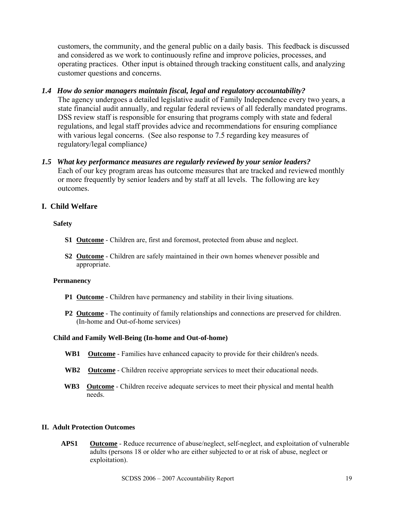customers, the community, and the general public on a daily basis. This feedback is discussed and considered as we work to continuously refine and improve policies, processes, and operating practices. Other input is obtained through tracking constituent calls*,* and analyzing customer questions and concerns.

### *1.4 How do senior managers maintain fiscal, legal and regulatory accountability?*

The agency undergoes a detailed legislative audit of Family Independence every two years, a state financial audit annually, and regular federal reviews of all federally mandated programs. DSS review staff is responsible for ensuring that programs comply with state and federal regulations, and legal staff provides advice and recommendations for ensuring compliance with various legal concerns. (See also response to 7.5 regarding key measures of regulatory/legal compliance*)* 

### *1.5 What key performance measures are regularly reviewed by your senior leaders?*

Each of our key program areas has outcome measures that are tracked and reviewed monthly or more frequently by senior leaders and by staff at all levels. The following are key outcomes.

### **I. Child Welfare**

#### **Safety**

- **S1 Outcome** Children are, first and foremost, protected from abuse and neglect.
- **S2 Outcome** Children are safely maintained in their own homes whenever possible and appropriate.

#### **Permanency**

- **P1 Outcome** Children have permanency and stability in their living situations.
- **P2 Outcome** The continuity of family relationships and connections are preserved for children. (In-home and Out-of-home services)

#### **Child and Family Well-Being (In-home and Out-of-home)**

- **WB1 Outcome** Families have enhanced capacity to provide for their children's needs.
- **WB2 Outcome** Children receive appropriate services to meet their educational needs.
- **WB3 Outcome** Children receive adequate services to meet their physical and mental health needs.

#### **II. Adult Protection Outcomes**

**APS1 Outcome** - Reduce recurrence of abuse/neglect, self-neglect, and exploitation of vulnerable adults (persons 18 or older who are either subjected to or at risk of abuse, neglect or exploitation).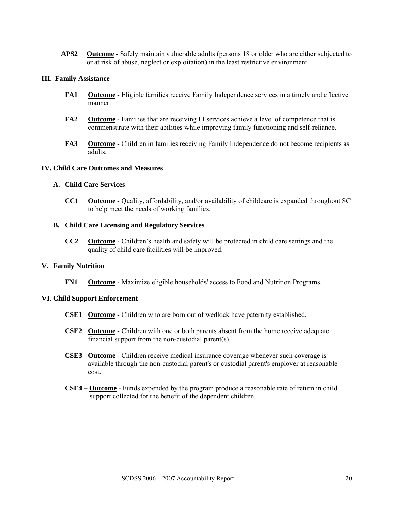**APS2 Outcome** - Safely maintain vulnerable adults (persons 18 or older who are either subjected to or at risk of abuse, neglect or exploitation) in the least restrictive environment.

#### **III. Family Assistance**

- **FA1** Outcome Eligible families receive Family Independence services in a timely and effective manner.
- **FA2 Outcome** Families that are receiving FI services achieve a level of competence that is commensurate with their abilities while improving family functioning and self-reliance.
- **FA3 Outcome** Children in families receiving Family Independence do not become recipients as adults.

#### **IV. Child Care Outcomes and Measures**

#### **A. Child Care Services**

**CC1 Outcome** - Quality, affordability, and/or availability of childcare is expanded throughout SC to help meet the needs of working families.

#### **B. Child Care Licensing and Regulatory Services**

**CC2 Outcome** - Children's health and safety will be protected in child care settings and the quality of child care facilities will be improved.

#### **V. Family Nutrition**

**FN1 Outcome** - Maximize eligible households' access to Food and Nutrition Programs.

#### **VI. Child Support Enforcement**

- **CSE1 Outcome** Children who are born out of wedlock have paternity established.
- **CSE2 Outcome** Children with one or both parents absent from the home receive adequate financial support from the non-custodial parent(s).
- **CSE3 Outcome** Children receive medical insurance coverage whenever such coverage is available through the non-custodial parent's or custodial parent's employer at reasonable cost.
- **CSE4 Outcome** Funds expended by the program produce a reasonable rate of return in child support collected for the benefit of the dependent children.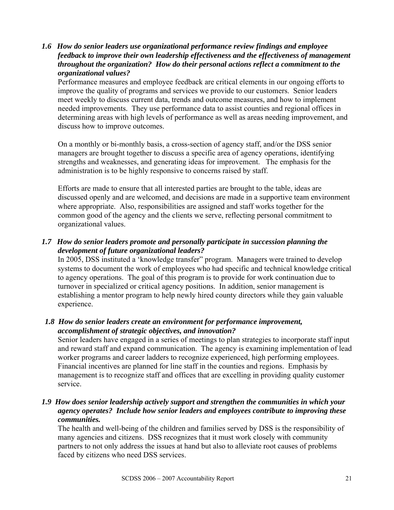*1.6 How do senior leaders use organizational performance review findings and employee feedback to improve their own leadership effectiveness and the effectiveness of management throughout the organization? How do their personal actions reflect a commitment to the organizational values?* 

Performance measures and employee feedback are critical elements in our ongoing efforts to improve the quality of programs and services we provide to our customers. Senior leaders meet weekly to discuss current data, trends and outcome measures, and how to implement needed improvements. They use performance data to assist counties and regional offices in determining areas with high levels of performance as well as areas needing improvement, and discuss how to improve outcomes.

On a monthly or bi-monthly basis, a cross-section of agency staff, and/or the DSS senior managers are brought together to discuss a specific area of agency operations, identifying strengths and weaknesses, and generating ideas for improvement. The emphasis for the administration is to be highly responsive to concerns raised by staff.

Efforts are made to ensure that all interested parties are brought to the table, ideas are discussed openly and are welcomed, and decisions are made in a supportive team environment where appropriate. Also, responsibilities are assigned and staff works together for the common good of the agency and the clients we serve, reflecting personal commitment to organizational values.

# *1.7 How do senior leaders promote and personally participate in succession planning the development of future organizational leaders?*

In 2005, DSS instituted a 'knowledge transfer" program. Managers were trained to develop systems to document the work of employees who had specific and technical knowledge critical to agency operations. The goal of this program is to provide for work continuation due to turnover in specialized or critical agency positions. In addition, senior management is establishing a mentor program to help newly hired county directors while they gain valuable experience.

### *1.8 How do senior leaders create an environment for performance improvement, accomplishment of strategic objectives, and innovation?*

Senior leaders have engaged in a series of meetings to plan strategies to incorporate staff input and reward staff and expand communication. The agency is examining implementation of lead worker programs and career ladders to recognize experienced, high performing employees. Financial incentives are planned for line staff in the counties and regions. Emphasis by management is to recognize staff and offices that are excelling in providing quality customer service.

### *1.9 How does senior leadership actively support and strengthen the communities in which your agency operates? Include how senior leaders and employees contribute to improving these communities.*

The health and well-being of the children and families served by DSS is the responsibility of many agencies and citizens. DSS recognizes that it must work closely with community partners to not only address the issues at hand but also to alleviate root causes of problems faced by citizens who need DSS services.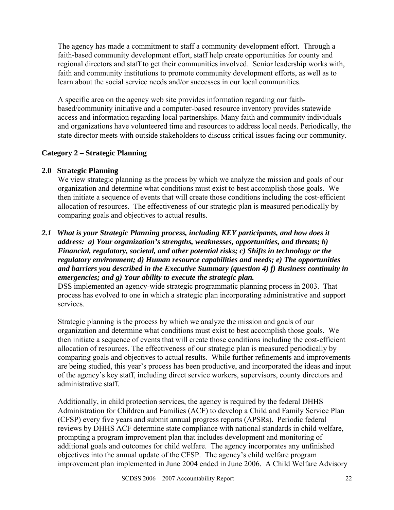The agency has made a commitment to staff a community development effort. Through a faith-based community development effort, staff help create opportunities for county and regional directors and staff to get their communities involved. Senior leadership works with, faith and community institutions to promote community development efforts, as well as to learn about the social service needs and/or successes in our local communities.

A specific area on the agency web site provides information regarding our faithbased/community initiative and a computer-based resource inventory provides statewide access and information regarding local partnerships. Many faith and community individuals and organizations have volunteered time and resources to address local needs. Periodically, the state director meets with outside stakeholders to discuss critical issues facing our community.

# **Category 2 – Strategic Planning**

### **2.0 Strategic Planning**

We view strategic planning as the process by which we analyze the mission and goals of our organization and determine what conditions must exist to best accomplish those goals. We then initiate a sequence of events that will create those conditions including the cost-efficient allocation of resources. The effectiveness of our strategic plan is measured periodically by comparing goals and objectives to actual results.

### *2.1 What is your Strategic Planning process, including KEY participants, and how does it address: a) Your organization's strengths, weaknesses, opportunities, and threats; b) Financial, regulatory, societal, and other potential risks; c) Shifts in technology or the regulatory environment; d) Human resource capabilities and needs; e) The opportunities and barriers you described in the Executive Summary (question 4) f) Business continuity in emergencies; and g) Your ability to execute the strategic plan.*

DSS implemented an agency-wide strategic programmatic planning process in 2003. That process has evolved to one in which a strategic plan incorporating administrative and support services.

Strategic planning is the process by which we analyze the mission and goals of our organization and determine what conditions must exist to best accomplish those goals. We then initiate a sequence of events that will create those conditions including the cost-efficient allocation of resources. The effectiveness of our strategic plan is measured periodically by comparing goals and objectives to actual results. While further refinements and improvements are being studied, this year's process has been productive, and incorporated the ideas and input of the agency's key staff, including direct service workers, supervisors, county directors and administrative staff.

Additionally, in child protection services, the agency is required by the federal DHHS Administration for Children and Families (ACF) to develop a Child and Family Service Plan (CFSP) every five years and submit annual progress reports (APSRs). Periodic federal reviews by DHHS ACF determine state compliance with national standards in child welfare, prompting a program improvement plan that includes development and monitoring of additional goals and outcomes for child welfare. The agency incorporates any unfinished objectives into the annual update of the CFSP. The agency's child welfare program improvement plan implemented in June 2004 ended in June 2006. A Child Welfare Advisory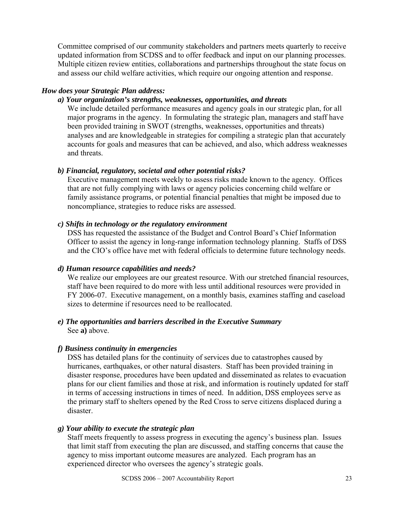Committee comprised of our community stakeholders and partners meets quarterly to receive updated information from SCDSS and to offer feedback and input on our planning processes. Multiple citizen review entities, collaborations and partnerships throughout the state focus on and assess our child welfare activities, which require our ongoing attention and response.

### *How does your Strategic Plan address:*

### *a) Your organization's strengths, weaknesses, opportunities, and threats*

We include detailed performance measures and agency goals in our strategic plan, for all major programs in the agency. In formulating the strategic plan, managers and staff have been provided training in SWOT (strengths, weaknesses, opportunities and threats) analyses and are knowledgeable in strategies for compiling a strategic plan that accurately accounts for goals and measures that can be achieved, and also, which address weaknesses and threats.

# *b) Financial, regulatory, societal and other potential risks?*

Executive management meets weekly to assess risks made known to the agency. Offices that are not fully complying with laws or agency policies concerning child welfare or family assistance programs, or potential financial penalties that might be imposed due to noncompliance, strategies to reduce risks are assessed.

### *c) Shifts in technology or the regulatory environment*

DSS has requested the assistance of the Budget and Control Board's Chief Information Officer to assist the agency in long-range information technology planning. Staffs of DSS and the CIO's office have met with federal officials to determine future technology needs.

### *d) Human resource capabilities and needs?*

We realize our employees are our greatest resource. With our stretched financial resources, staff have been required to do more with less until additional resources were provided in FY 2006-07. Executive management, on a monthly basis, examines staffing and caseload sizes to determine if resources need to be reallocated.

### *e) The opportunities and barriers described in the Executive Summary*  See **a)** above.

# *f) Business continuity in emergencies*

DSS has detailed plans for the continuity of services due to catastrophes caused by hurricanes, earthquakes, or other natural disasters. Staff has been provided training in disaster response, procedures have been updated and disseminated as relates to evacuation plans for our client families and those at risk, and information is routinely updated for staff in terms of accessing instructions in times of need. In addition, DSS employees serve as the primary staff to shelters opened by the Red Cross to serve citizens displaced during a disaster.

### *g) Your ability to execute the strategic plan*

Staff meets frequently to assess progress in executing the agency's business plan. Issues that limit staff from executing the plan are discussed, and staffing concerns that cause the agency to miss important outcome measures are analyzed. Each program has an experienced director who oversees the agency's strategic goals.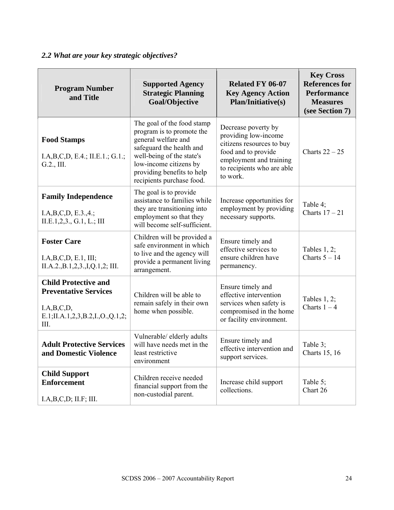# *2.2 What are your key strategic objectives?*

| <b>Program Number</b><br>and Title                                                                                   | <b>Supported Agency</b><br><b>Strategic Planning</b><br>Goal/Objective                                                                                                                                                           | <b>Related FY 06-07</b><br><b>Key Agency Action</b><br><b>Plan/Initiative(s)</b>                                                                                     | <b>Key Cross</b><br><b>References for</b><br><b>Performance</b><br><b>Measures</b><br>(see Section 7) |
|----------------------------------------------------------------------------------------------------------------------|----------------------------------------------------------------------------------------------------------------------------------------------------------------------------------------------------------------------------------|----------------------------------------------------------------------------------------------------------------------------------------------------------------------|-------------------------------------------------------------------------------------------------------|
| <b>Food Stamps</b><br>I.A,B,C,D, E.4.; II.E.1.; G.1.;<br>G.2., III.                                                  | The goal of the food stamp<br>program is to promote the<br>general welfare and<br>safeguard the health and<br>well-being of the state's<br>low-income citizens by<br>providing benefits to help<br>recipients purchase food.     | Decrease poverty by<br>providing low-income<br>citizens resources to buy<br>food and to provide<br>employment and training<br>to recipients who are able<br>to work. | Charts $22 - 25$                                                                                      |
| <b>Family Independence</b><br>I.A,B,C,D,E.3.,4.;<br>II.E.1, 2, 3., G.1, L.; III                                      | The goal is to provide<br>assistance to families while<br>Increase opportunities for<br>employment by providing<br>they are transitioning into<br>employment so that they<br>necessary supports.<br>will become self-sufficient. |                                                                                                                                                                      | Table 4;<br>Charts $17 - 21$                                                                          |
| <b>Foster Care</b><br>I.A.B.C.D. E.1, III;<br>II.A.2., B.1, 2, 3., I, Q.1, 2; III.                                   | Children will be provided a<br>safe environment in which<br>to live and the agency will<br>provide a permanent living<br>arrangement.                                                                                            | Ensure timely and<br>effective services to<br>ensure children have<br>permanency.                                                                                    | Tables $1, 2;$<br>Charts $5 - 14$                                                                     |
| <b>Child Protective and</b><br><b>Preventative Services</b><br>I.A.B.C.D,<br>E.1;II.A.1,2,3,B.2,I.,O.,Q.1,2;<br>III. | Children will be able to<br>remain safely in their own<br>home when possible.                                                                                                                                                    | Ensure timely and<br>effective intervention<br>services when safety is<br>compromised in the home<br>or facility environment.                                        | Tables 1, 2;<br>Charts $1 - 4$                                                                        |
| <b>Adult Protective Services</b><br>and Domestic Violence                                                            | Vulnerable/ elderly adults<br>will have needs met in the<br>least restrictive<br>environment                                                                                                                                     | Ensure timely and<br>effective intervention and<br>support services.                                                                                                 | Table 3;<br>Charts 15, 16                                                                             |
| <b>Child Support</b><br><b>Enforcement</b><br>I.A.B.C.D; II.F; III.                                                  | Children receive needed<br>financial support from the<br>non-custodial parent.                                                                                                                                                   | Increase child support<br>collections.                                                                                                                               | Table 5;<br>Chart 26                                                                                  |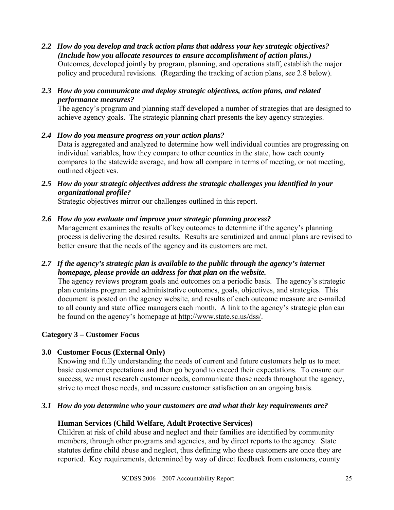- *2.2 How do you develop and track action plans that address your key strategic objectives? (Include how you allocate resources to ensure accomplishment of action plans.)*  Outcomes, developed jointly by program, planning, and operations staff, establish the major policy and procedural revisions. (Regarding the tracking of action plans, see 2.8 below).
- *2.3 How do you communicate and deploy strategic objectives, action plans, and related performance measures?*

The agency's program and planning staff developed a number of strategies that are designed to achieve agency goals. The strategic planning chart presents the key agency strategies.

- *2.4 How do you measure progress on your action plans?*  Data is aggregated and analyzed to determine how well individual counties are progressing on individual variables, how they compare to other counties in the state, how each county compares to the statewide average, and how all compare in terms of meeting, or not meeting, outlined objectives.
- *2.5 How do your strategic objectives address the strategic challenges you identified in your organizational profile?*

Strategic objectives mirror our challenges outlined in this report.

# *2.6 How do you evaluate and improve your strategic planning process?*

Management examines the results of key outcomes to determine if the agency's planning process is delivering the desired results. Results are scrutinized and annual plans are revised to better ensure that the needs of the agency and its customers are met.

*2.7 If the agency's strategic plan is available to the public through the agency's internet homepage, please provide an address for that plan on the website.* 

The agency reviews program goals and outcomes on a periodic basis. The agency's strategic plan contains program and administrative outcomes, goals, objectives, and strategies. This document is posted on the agency website, and results of each outcome measure are e-mailed to all county and state office managers each month. A link to the agency's strategic plan can be found on the agency's homepage at http://www.state.sc.us/dss/.

### **Category 3 – Customer Focus**

# **3.0 Customer Focus (External Only)**

Knowing and fully understanding the needs of current and future customers help us to meet basic customer expectations and then go beyond to exceed their expectations. To ensure our success, we must research customer needs, communicate those needs throughout the agency, strive to meet those needs, and measure customer satisfaction on an ongoing basis.

### *3.1 How do you determine who your customers are and what their key requirements are?*

### **Human Services (Child Welfare, Adult Protective Services)**

Children at risk of child abuse and neglect and their families are identified by community members, through other programs and agencies, and by direct reports to the agency. State statutes define child abuse and neglect, thus defining who these customers are once they are reported. Key requirements, determined by way of direct feedback from customers, county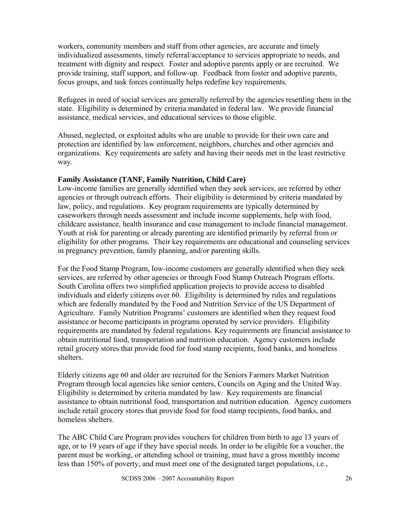workers, community members and staff from other agencies, are accurate and timely individualized assessments, timely referral/acceptance to services appropriate to needs, and treatment with dignity and respect. Foster and adoptive parents apply or are recruited. We provide training, staff support, and follow-up. Feedback from foster and adoptive parents, focus groups, and task forces continually helps redefine key requirements.

Refugees in need of social services are generally referred by the agencies resettling them in the state. Eligibility is determined by criteria mandated in federal law. We provide financial assistance, medical services, and educational services to those eligible.

Abused, neglected, or exploited adults who are unable to provide for their own care and protection are identified by law enforcement, neighbors, churches and other agencies and organizations. Key requirements are safety and having their needs met in the least restrictive way.

# **Family Assistance (TANF, Family Nutrition, Child Care)**

Low-income families are generally identified when they seek services, are referred by other agencies or through outreach efforts. Their eligibility is determined by criteria mandated by law, policy, and regulations. Key program requirements are typically determined by caseworkers through needs assessment and include income supplements, help with food, childcare assistance, health insurance and case management to include financial management. Youth at risk for parenting or already parenting are identified primarily by referral from or eligibility for other programs. Their key requirements are educational and counseling services in pregnancy prevention, family planning, and/or parenting skills.

For the Food Stamp Program, low-income customers are generally identified when they seek services, are referred by other agencies or through Food Stamp Outreach Program efforts. South Carolina offers two simplified application projects to provide access to disabled individuals and elderly citizens over 60. Eligibility is determined by rules and regulations which are federally mandated by the Food and Nutrition Service of the US Department of Agriculture. Family Nutrition Programs' customers are identified when they request food assistance or become participants in programs operated by service providers. Eligibility requirements are mandated by federal regulations. Key requirements are financial assistance to obtain nutritional food, transportation and nutrition education. Agency customers include retail grocery stores that provide food for food stamp recipients, food banks, and homeless shelters.

Elderly citizens age 60 and older are recruited for the Seniors Farmers Market Nutrition Program through local agencies like senior centers, Councils on Aging and the United Way. Eligibility is determined by criteria mandated by law. Key requirements are financial assistance to obtain nutritional food, transportation and nutrition education. Agency customers include retail grocery stores that provide food for food stamp recipients, food banks, and homeless shelters.

The ABC Child Care Program provides vouchers for children from birth to age 13 years of age, or to 19 years of age if they have special needs. In order to be eligible for a voucher, the parent must be working, or attending school or training, must have a gross monthly income less than 150% of poverty, and must meet one of the designated target populations, i.e.,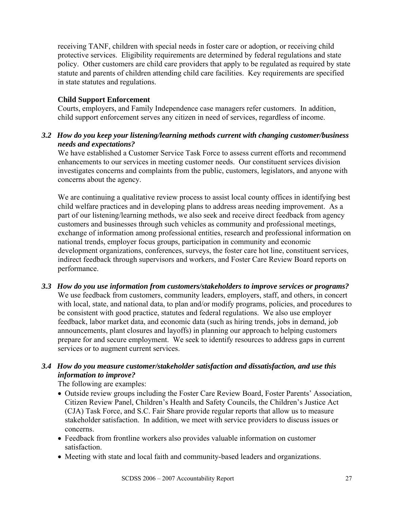receiving TANF, children with special needs in foster care or adoption, or receiving child protective services. Eligibility requirements are determined by federal regulations and state policy. Other customers are child care providers that apply to be regulated as required by state statute and parents of children attending child care facilities. Key requirements are specified in state statutes and regulations.

### **Child Support Enforcement**

Courts, employers, and Family Independence case managers refer customers. In addition, child support enforcement serves any citizen in need of services, regardless of income.

### *3.2 How do you keep your listening/learning methods current with changing customer/business needs and expectations?*

We have established a Customer Service Task Force to assess current efforts and recommend enhancements to our services in meeting customer needs. Our constituent services division investigates concerns and complaints from the public, customers, legislators, and anyone with concerns about the agency.

We are continuing a qualitative review process to assist local county offices in identifying best child welfare practices and in developing plans to address areas needing improvement. As a part of our listening/learning methods, we also seek and receive direct feedback from agency customers and businesses through such vehicles as community and professional meetings, exchange of information among professional entities, research and professional information on national trends, employer focus groups, participation in community and economic development organizations, conferences, surveys, the foster care hot line, constituent services, indirect feedback through supervisors and workers, and Foster Care Review Board reports on performance.

*3.3 How do you use information from customers/stakeholders to improve services or programs?*  We use feedback from customers, community leaders, employers, staff, and others, in concert with local, state, and national data, to plan and/or modify programs, policies, and procedures to be consistent with good practice, statutes and federal regulations. We also use employer feedback, labor market data, and economic data (such as hiring trends, jobs in demand, job announcements, plant closures and layoffs) in planning our approach to helping customers prepare for and secure employment. We seek to identify resources to address gaps in current services or to augment current services.

### *3.4 How do you measure customer/stakeholder satisfaction and dissatisfaction, and use this information to improve?*

The following are examples:

- Outside review groups including the Foster Care Review Board, Foster Parents' Association, Citizen Review Panel, Children's Health and Safety Councils, the Children's Justice Act (CJA) Task Force, and S.C. Fair Share provide regular reports that allow us to measure stakeholder satisfaction. In addition, we meet with service providers to discuss issues or concerns.
- Feedback from frontline workers also provides valuable information on customer satisfaction.
- Meeting with state and local faith and community-based leaders and organizations.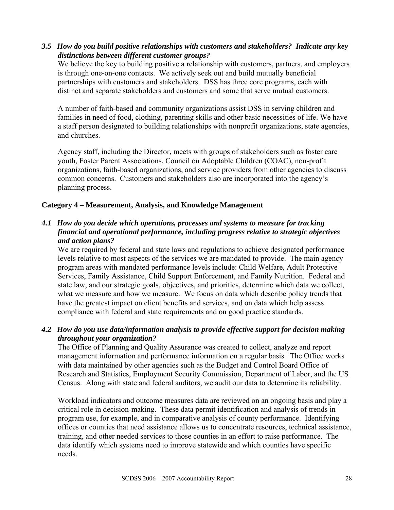# *3.5 How do you build positive relationships with customers and stakeholders? Indicate any key distinctions between different customer groups?*

We believe the key to building positive a relationship with customers, partners, and employers is through one-on-one contacts. We actively seek out and build mutually beneficial partnerships with customers and stakeholders. DSS has three core programs, each with distinct and separate stakeholders and customers and some that serve mutual customers.

A number of faith-based and community organizations assist DSS in serving children and families in need of food, clothing, parenting skills and other basic necessities of life. We have a staff person designated to building relationships with nonprofit organizations, state agencies, and churches.

Agency staff, including the Director, meets with groups of stakeholders such as foster care youth, Foster Parent Associations, Council on Adoptable Children (COAC), non-profit organizations, faith-based organizations, and service providers from other agencies to discuss common concerns. Customers and stakeholders also are incorporated into the agency's planning process.

### **Category 4 – Measurement, Analysis, and Knowledge Management**

# *4.1 How do you decide which operations, processes and systems to measure for tracking financial and operational performance, including progress relative to strategic objectives and action plans?*

We are required by federal and state laws and regulations to achieve designated performance levels relative to most aspects of the services we are mandated to provide. The main agency program areas with mandated performance levels include: Child Welfare, Adult Protective Services, Family Assistance, Child Support Enforcement, and Family Nutrition. Federal and state law, and our strategic goals, objectives, and priorities, determine which data we collect, what we measure and how we measure. We focus on data which describe policy trends that have the greatest impact on client benefits and services, and on data which help assess compliance with federal and state requirements and on good practice standards.

# *4.2 How do you use data/information analysis to provide effective support for decision making throughout your organization?*

The Office of Planning and Quality Assurance was created to collect, analyze and report management information and performance information on a regular basis. The Office works with data maintained by other agencies such as the Budget and Control Board Office of Research and Statistics, Employment Security Commission, Department of Labor, and the US Census. Along with state and federal auditors, we audit our data to determine its reliability.

Workload indicators and outcome measures data are reviewed on an ongoing basis and play a critical role in decision-making. These data permit identification and analysis of trends in program use, for example, and in comparative analysis of county performance. Identifying offices or counties that need assistance allows us to concentrate resources, technical assistance, training, and other needed services to those counties in an effort to raise performance. The data identify which systems need to improve statewide and which counties have specific needs.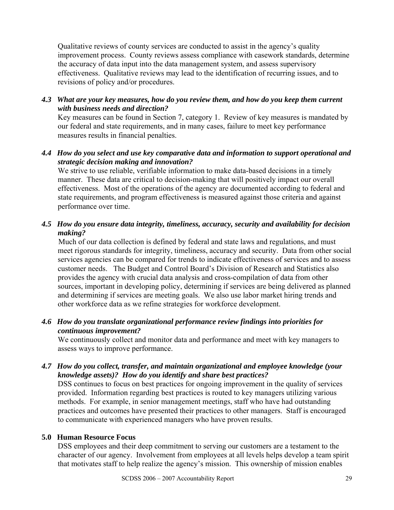Qualitative reviews of county services are conducted to assist in the agency's quality improvement process. County reviews assess compliance with casework standards, determine the accuracy of data input into the data management system, and assess supervisory effectiveness. Qualitative reviews may lead to the identification of recurring issues, and to revisions of policy and/or procedures.

*4.3 What are your key measures, how do you review them, and how do you keep them current with business needs and direction?* 

Key measures can be found in Section 7, category 1. Review of key measures is mandated by our federal and state requirements, and in many cases, failure to meet key performance measures results in financial penalties.

### *4.4 How do you select and use key comparative data and information to support operational and strategic decision making and innovation?*

We strive to use reliable, verifiable information to make data-based decisions in a timely manner. These data are critical to decision-making that will positively impact our overall effectiveness. Most of the operations of the agency are documented according to federal and state requirements, and program effectiveness is measured against those criteria and against performance over time.

# *4.5 How do you ensure data integrity, timeliness, accuracy, security and availability for decision making?*

 Much of our data collection is defined by federal and state laws and regulations, and must meet rigorous standards for integrity, timeliness, accuracy and security. Data from other social services agencies can be compared for trends to indicate effectiveness of services and to assess customer needs. The Budget and Control Board's Division of Research and Statistics also provides the agency with crucial data analysis and cross-compilation of data from other sources, important in developing policy, determining if services are being delivered as planned and determining if services are meeting goals. We also use labor market hiring trends and other workforce data as we refine strategies for workforce development.

# *4.6 How do you translate organizational performance review findings into priorities for continuous improvement?*

We continuously collect and monitor data and performance and meet with key managers to assess ways to improve performance.

# *4.7 How do you collect, transfer, and maintain organizational and employee knowledge (your knowledge assets)? How do you identify and share best practices?*

DSS continues to focus on best practices for ongoing improvement in the quality of services provided. Information regarding best practices is routed to key managers utilizing various methods. For example, in senior management meetings, staff who have had outstanding practices and outcomes have presented their practices to other managers. Staff is encouraged to communicate with experienced managers who have proven results.

# **5.0 Human Resource Focus**

DSS employees and their deep commitment to serving our customers are a testament to the character of our agency. Involvement from employees at all levels helps develop a team spirit that motivates staff to help realize the agency's mission. This ownership of mission enables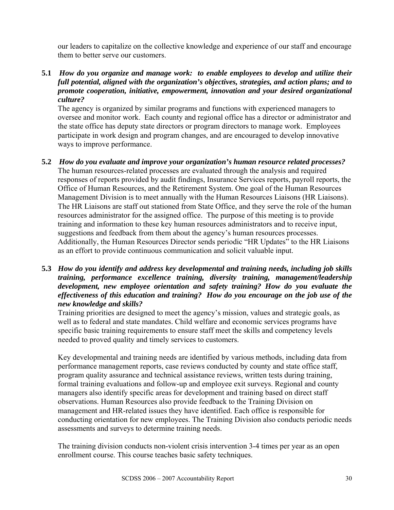our leaders to capitalize on the collective knowledge and experience of our staff and encourage them to better serve our customers.

**5.1** *How do you organize and manage work: to enable employees to develop and utilize their full potential, aligned with the organization's objectives, strategies, and action plans; and to promote cooperation, initiative, empowerment, innovation and your desired organizational culture?*

The agency is organized by similar programs and functions with experienced managers to oversee and monitor work. Each county and regional office has a director or administrator and the state office has deputy state directors or program directors to manage work. Employees participate in work design and program changes, and are encouraged to develop innovative ways to improve performance.

- **5.2** *How do you evaluate and improve your organization's human resource related processes?*  The human resources-related processes are evaluated through the analysis and required responses of reports provided by audit findings, Insurance Services reports, payroll reports, the Office of Human Resources, and the Retirement System. One goal of the Human Resources Management Division is to meet annually with the Human Resources Liaisons (HR Liaisons). The HR Liaisons are staff out stationed from State Office, and they serve the role of the human resources administrator for the assigned office. The purpose of this meeting is to provide training and information to these key human resources administrators and to receive input, suggestions and feedback from them about the agency's human resources processes. Additionally, the Human Resources Director sends periodic "HR Updates" to the HR Liaisons as an effort to provide continuous communication and solicit valuable input.
- **5.3** *How do you identify and address key developmental and training needs, including job skills training, performance excellence training, diversity training, management/leadership development, new employee orientation and safety training? How do you evaluate the effectiveness of this education and training? How do you encourage on the job use of the new knowledge and skills?*

Training priorities are designed to meet the agency's mission, values and strategic goals, as well as to federal and state mandates. Child welfare and economic services programs have specific basic training requirements to ensure staff meet the skills and competency levels needed to proved quality and timely services to customers.

Key developmental and training needs are identified by various methods, including data from performance management reports, case reviews conducted by county and state office staff, program quality assurance and technical assistance reviews, written tests during training, formal training evaluations and follow-up and employee exit surveys. Regional and county managers also identify specific areas for development and training based on direct staff observations. Human Resources also provide feedback to the Training Division on management and HR-related issues they have identified. Each office is responsible for conducting orientation for new employees. The Training Division also conducts periodic needs assessments and surveys to determine training needs.

The training division conducts non-violent crisis intervention 3-4 times per year as an open enrollment course. This course teaches basic safety techniques.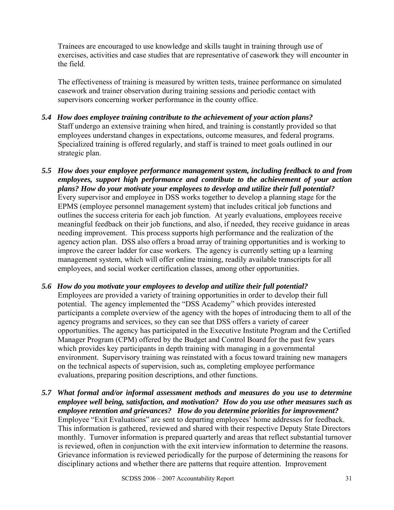Trainees are encouraged to use knowledge and skills taught in training through use of exercises, activities and case studies that are representative of casework they will encounter in the field.

The effectiveness of training is measured by written tests, trainee performance on simulated casework and trainer observation during training sessions and periodic contact with supervisors concerning worker performance in the county office.

- *5.4 How does employee training contribute to the achievement of your action plans?*  Staff undergo an extensive training when hired, and training is constantly provided so that employees understand changes in expectations, outcome measures, and federal programs. Specialized training is offered regularly, and staff is trained to meet goals outlined in our strategic plan.
- *5.5 How does your employee performance management system, including feedback to and from employees, support high performance and contribute to the achievement of your action plans? How do your motivate your employees to develop and utilize their full potential?* Every supervisor and employee in DSS works together to develop a planning stage for the EPMS (employee personnel management system) that includes critical job functions and outlines the success criteria for each job function. At yearly evaluations, employees receive meaningful feedback on their job functions, and also, if needed, they receive guidance in areas needing improvement. This process supports high performance and the realization of the agency action plan. DSS also offers a broad array of training opportunities and is working to improve the career ladder for case workers. The agency is currently setting up a learning management system, which will offer online training, readily available transcripts for all employees, and social worker certification classes, among other opportunities.
- *5.6**How do you motivate your employees to develop and utilize their full potential?* Employees are provided a variety of training opportunities in order to develop their full potential. The agency implemented the "DSS Academy" which provides interested participants a complete overview of the agency with the hopes of introducing them to all of the agency programs and services, so they can see that DSS offers a variety of career opportunities. The agency has participated in the Executive Institute Program and the Certified Manager Program (CPM) offered by the Budget and Control Board for the past few years which provides key participants in depth training with managing in a governmental environment. Supervisory training was reinstated with a focus toward training new managers on the technical aspects of supervision, such as, completing employee performance evaluations, preparing position descriptions, and other functions.
- *5.7**What formal and/or informal assessment methods and measures do you use to determine employee well being, satisfaction, and motivation? How do you use other measures such as employee retention and grievances? How do you determine priorities for improvement?*  Employee "Exit Evaluations" are sent to departing employees' home addresses for feedback. This information is gathered, reviewed and shared with their respective Deputy State Directors monthly. Turnover information is prepared quarterly and areas that reflect substantial turnover is reviewed, often in conjunction with the exit interview information to determine the reasons. Grievance information is reviewed periodically for the purpose of determining the reasons for disciplinary actions and whether there are patterns that require attention. Improvement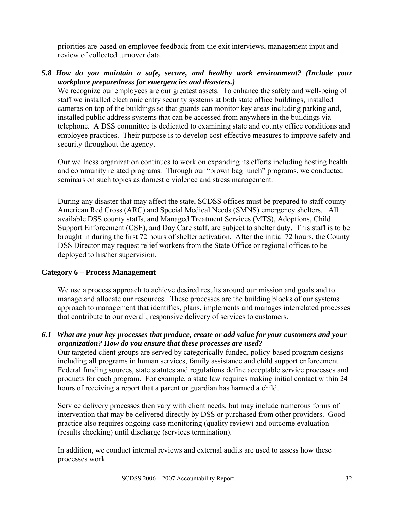priorities are based on employee feedback from the exit interviews, management input and review of collected turnover data.

*5.8 How do you maintain a safe, secure, and healthy work environment? (Include your workplace preparedness for emergencies and disasters.)*

We recognize our employees are our greatest assets. To enhance the safety and well-being of staff we installed electronic entry security systems at both state office buildings, installed cameras on top of the buildings so that guards can monitor key areas including parking and, installed public address systems that can be accessed from anywhere in the buildings via telephone. A DSS committee is dedicated to examining state and county office conditions and employee practices. Their purpose is to develop cost effective measures to improve safety and security throughout the agency.

Our wellness organization continues to work on expanding its efforts including hosting health and community related programs. Through our "brown bag lunch" programs, we conducted seminars on such topics as domestic violence and stress management.

During any disaster that may affect the state, SCDSS offices must be prepared to staff county American Red Cross (ARC) and Special Medical Needs (SMNS) emergency shelters. All available DSS county staffs, and Managed Treatment Services (MTS), Adoptions, Child Support Enforcement (CSE), and Day Care staff, are subject to shelter duty. This staff is to be brought in during the first 72 hours of shelter activation. After the initial 72 hours, the County DSS Director may request relief workers from the State Office or regional offices to be deployed to his/her supervision.

### **Category 6 – Process Management**

We use a process approach to achieve desired results around our mission and goals and to manage and allocate our resources. These processes are the building blocks of our systems approach to management that identifies, plans, implements and manages interrelated processes that contribute to our overall, responsive delivery of services to customers.

*6.1 What are your key processes that produce, create or add value for your customers and your organization? How do you ensure that these processes are used?* 

Our targeted client groups are served by categorically funded, policy-based program designs including all programs in human services, family assistance and child support enforcement. Federal funding sources, state statutes and regulations define acceptable service processes and products for each program. For example, a state law requires making initial contact within 24 hours of receiving a report that a parent or guardian has harmed a child.

Service delivery processes then vary with client needs, but may include numerous forms of intervention that may be delivered directly by DSS or purchased from other providers. Good practice also requires ongoing case monitoring (quality review) and outcome evaluation (results checking) until discharge (services termination).

In addition, we conduct internal reviews and external audits are used to assess how these processes work.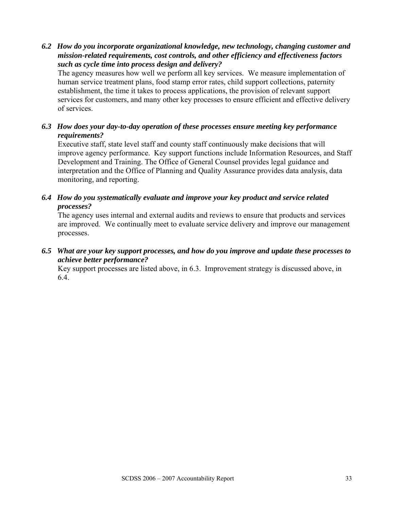*6.2 How do you incorporate organizational knowledge, new technology, changing customer and mission-related requirements, cost controls, and other efficiency and effectiveness factors such as cycle time into process design and delivery?* 

The agency measures how well we perform all key services. We measure implementation of human service treatment plans, food stamp error rates, child support collections, paternity establishment, the time it takes to process applications, the provision of relevant support services for customers, and many other key processes to ensure efficient and effective delivery of services.

*6.3 How does your day-to-day operation of these processes ensure meeting key performance requirements?* 

Executive staff, state level staff and county staff continuously make decisions that will improve agency performance. Key support functions include Information Resources, and Staff Development and Training. The Office of General Counsel provides legal guidance and interpretation and the Office of Planning and Quality Assurance provides data analysis, data monitoring, and reporting.

*6.4 How do you systematically evaluate and improve your key product and service related processes?* 

The agency uses internal and external audits and reviews to ensure that products and services are improved. We continually meet to evaluate service delivery and improve our management processes.

*6.5 What are your key support processes, and how do you improve and update these processes to achieve better performance?* 

Key support processes are listed above, in 6.3. Improvement strategy is discussed above, in 6.4.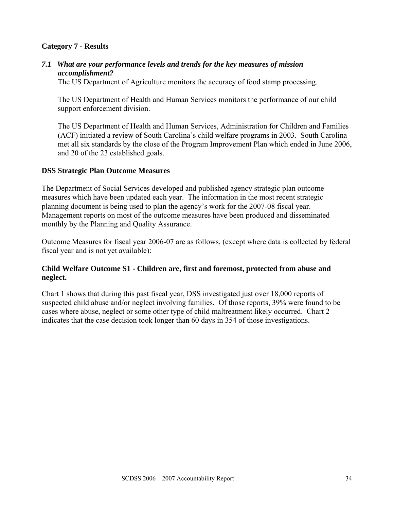### **Category 7 - Results**

### *7.1 What are your performance levels and trends for the key measures of mission accomplishment?*

The US Department of Agriculture monitors the accuracy of food stamp processing.

The US Department of Health and Human Services monitors the performance of our child support enforcement division.

The US Department of Health and Human Services, Administration for Children and Families (ACF) initiated a review of South Carolina's child welfare programs in 2003. South Carolina met all six standards by the close of the Program Improvement Plan which ended in June 2006, and 20 of the 23 established goals.

#### **DSS Strategic Plan Outcome Measures**

The Department of Social Services developed and published agency strategic plan outcome measures which have been updated each year. The information in the most recent strategic planning document is being used to plan the agency's work for the 2007-08 fiscal year. Management reports on most of the outcome measures have been produced and disseminated monthly by the Planning and Quality Assurance.

Outcome Measures for fiscal year 2006-07 are as follows, (except where data is collected by federal fiscal year and is not yet available):

### **Child Welfare Outcome S1 - Children are, first and foremost, protected from abuse and neglect.**

Chart 1 shows that during this past fiscal year, DSS investigated just over 18,000 reports of suspected child abuse and/or neglect involving families. Of those reports, 39% were found to be cases where abuse, neglect or some other type of child maltreatment likely occurred. Chart 2 indicates that the case decision took longer than 60 days in 354 of those investigations.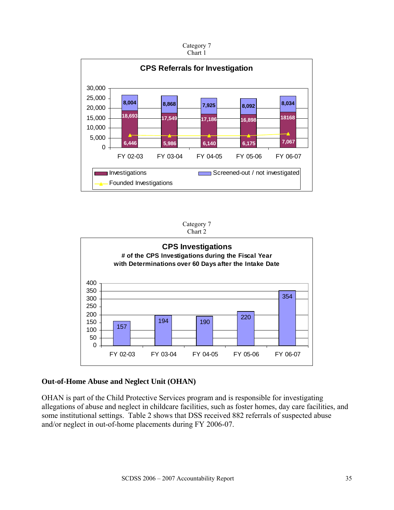



Investigations Screened-out / not investigated





### **Out-of-Home Abuse and Neglect Unit (OHAN)**

Founded Investigations

OHAN is part of the Child Protective Services program and is responsible for investigating allegations of abuse and neglect in childcare facilities, such as foster homes, day care facilities, and some institutional settings. Table 2 shows that DSS received 882 referrals of suspected abuse and/or neglect in out-of-home placements during FY 2006-07.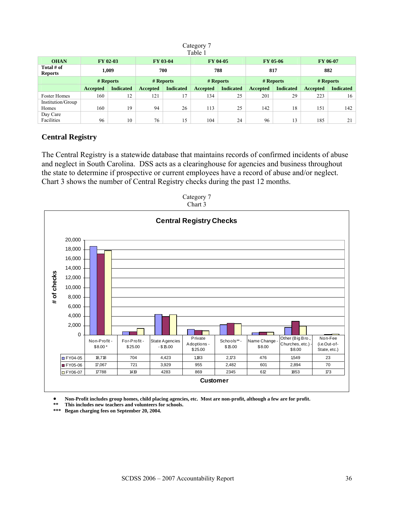#### Category 7 Table 1

| rabie i                      |          |                  |          |                  |          |                  |          |                  |                 |                  |
|------------------------------|----------|------------------|----------|------------------|----------|------------------|----------|------------------|-----------------|------------------|
| <b>OHAN</b>                  |          | FY 02-03         |          | <b>FY 03-04</b>  |          | FY 04-05         |          | FY 05-06         |                 | <b>FY 06-07</b>  |
| Total # of<br><b>Reports</b> |          | 1,009            | 700      |                  |          | 788              | 817      |                  |                 | 882              |
|                              |          | # Reports        |          | # Reports        |          | # Reports        |          | # Reports        |                 | # Reports        |
|                              | Accepted | <b>Indicated</b> | Accepted | <b>Indicated</b> | Accepted | <b>Indicated</b> | Accepted | <b>Indicated</b> | <b>Accepted</b> | <b>Indicated</b> |
| <b>Foster Homes</b>          | 160      | 12               | 121      | 17               | 134      | 25               | 201      | 29               | 223             | 16               |
| Institution/Group            |          |                  |          |                  |          |                  |          |                  |                 |                  |
| Homes                        | 160      | 19               | 94       | 26               | 113      | 25               | 142      | 18               | 151             | 142              |
| Day Care                     |          |                  |          |                  |          |                  |          |                  |                 |                  |
| Facilities                   | 96       | 10               | 76       | 15               | 104      | 24               | 96       | 13               | 185             | 21               |

# **Central Registry**

The Central Registry is a statewide database that maintains records of confirmed incidents of abuse and neglect in South Carolina. DSS acts as a clearinghouse for agencies and business throughout the state to determine if prospective or current employees have a record of abuse and/or neglect. Chart 3 shows the number of Central Registry checks during the past 12 months.





• **Non-Profit includes group homes, child placing agencies, etc. Most are non-profit, although a few are for profit.**<br>
\*\* This includes now toochers and volunteers for schools

**\*\* This includes new teachers and volunteers for schools.** 

**\*\*\* Began charging fees on September 20, 2004.**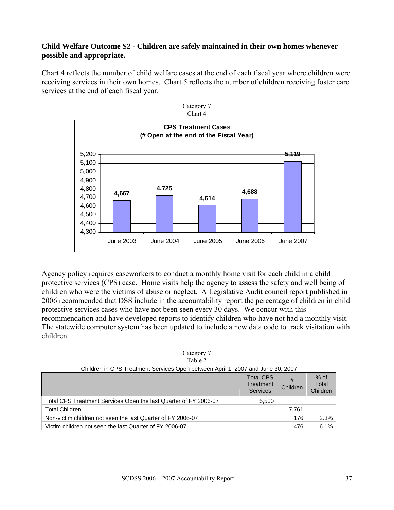### **Child Welfare Outcome S2 - Children are safely maintained in their own homes whenever possible and appropriate.**

Chart 4 reflects the number of child welfare cases at the end of each fiscal year where children were receiving services in their own homes. Chart 5 reflects the number of children receiving foster care services at the end of each fiscal year.



Agency policy requires caseworkers to conduct a monthly home visit for each child in a child protective services (CPS) case. Home visits help the agency to assess the safety and well being of children who were the victims of abuse or neglect. A Legislative Audit council report published in 2006 recommended that DSS include in the accountability report the percentage of children in child protective services cases who have not been seen every 30 days. We concur with this recommendation and have developed reports to identify children who have not had a monthly visit. The statewide computer system has been updated to include a new data code to track visitation with children.

| Category 7 |  |
|------------|--|
| Table 2    |  |

| Children in CPS Treatment Services Open between April 1, 2007 and June 30, 2007 |
|---------------------------------------------------------------------------------|
|                                                                                 |

|                                                                  | Total CPS<br>Treatment<br>Services | Children | $%$ of<br>Total<br>Children |
|------------------------------------------------------------------|------------------------------------|----------|-----------------------------|
| Total CPS Treatment Services Open the last Quarter of FY 2006-07 | 5,500                              |          |                             |
| <b>Total Children</b>                                            |                                    | 7.761    |                             |
| Non-victim children not seen the last Quarter of FY 2006-07      |                                    | 176      | 2.3%                        |
| Victim children not seen the last Quarter of FY 2006-07          |                                    | 476      | 6.1%                        |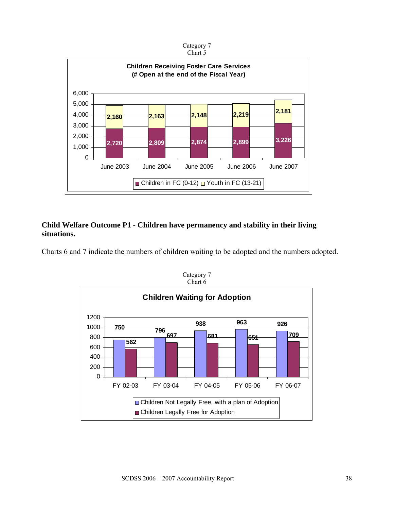

### **Child Welfare Outcome P1 - Children have permanency and stability in their living situations.**

Charts 6 and 7 indicate the numbers of children waiting to be adopted and the numbers adopted.



Category 7 Chart 6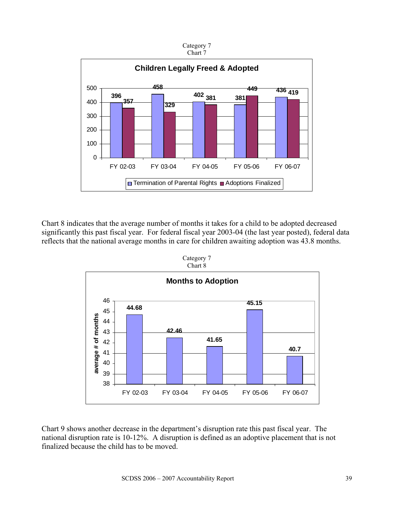

Chart 8 indicates that the average number of months it takes for a child to be adopted decreased significantly this past fiscal year. For federal fiscal year 2003-04 (the last year posted), federal data reflects that the national average months in care for children awaiting adoption was 43.8 months.



Category 7 Chart 8

Chart 9 shows another decrease in the department's disruption rate this past fiscal year. The national disruption rate is 10-12%. A disruption is defined as an adoptive placement that is not finalized because the child has to be moved.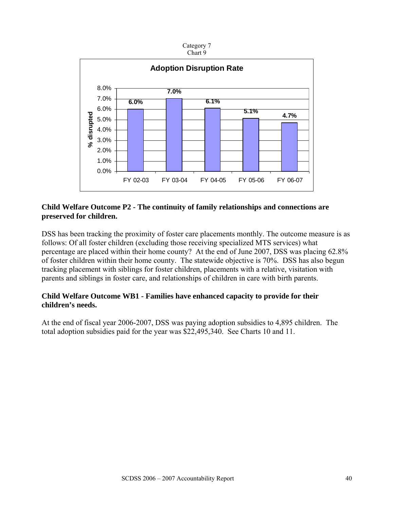



#### **Child Welfare Outcome P2 - The continuity of family relationships and connections are preserved for children.**

DSS has been tracking the proximity of foster care placements monthly. The outcome measure is as follows: Of all foster children (excluding those receiving specialized MTS services) what percentage are placed within their home county? At the end of June 2007, DSS was placing 62.8% of foster children within their home county. The statewide objective is 70%. DSS has also begun tracking placement with siblings for foster children, placements with a relative, visitation with parents and siblings in foster care, and relationships of children in care with birth parents.

### **Child Welfare Outcome WB1 - Families have enhanced capacity to provide for their children's needs.**

At the end of fiscal year 2006-2007, DSS was paying adoption subsidies to 4,895 children. The total adoption subsidies paid for the year was \$22,495,340. See Charts 10 and 11.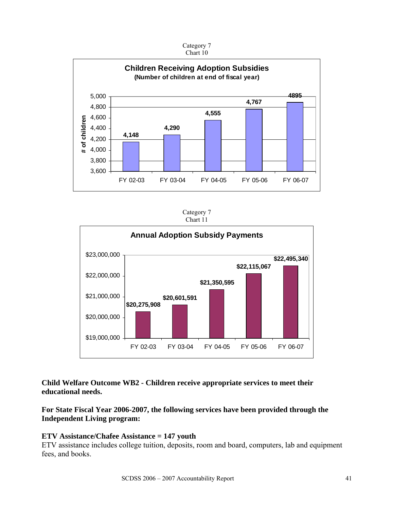

#### Category 7 Chart 10

Category 7 Chart 11



**Child Welfare Outcome WB2 - Children receive appropriate services to meet their educational needs.** 

# **For State Fiscal Year 2006-2007, the following services have been provided through the Independent Living program:**

### **ETV Assistance/Chafee Assistance = 147 youth**

ETV assistance includes college tuition, deposits, room and board, computers, lab and equipment fees, and books.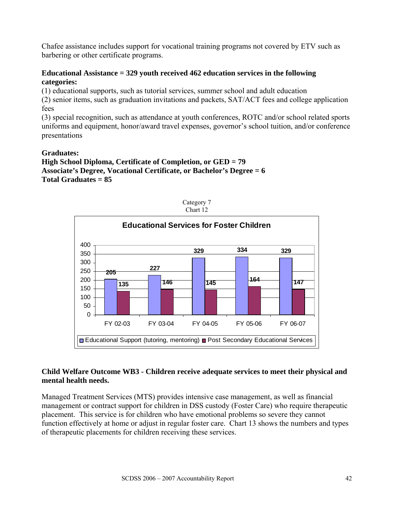Chafee assistance includes support for vocational training programs not covered by ETV such as barbering or other certificate programs.

### **Educational Assistance = 329 youth received 462 education services in the following categories:**

(1) educational supports, such as tutorial services, summer school and adult education

(2) senior items, such as graduation invitations and packets, SAT/ACT fees and college application fees

(3) special recognition, such as attendance at youth conferences, ROTC and/or school related sports uniforms and equipment, honor/award travel expenses, governor's school tuition, and/or conference presentations

### **Graduates:**

**High School Diploma, Certificate of Completion, or GED = 79 Associate's Degree, Vocational Certificate, or Bachelor's Degree = 6 Total Graduates = 85** 



### **Child Welfare Outcome WB3 - Children receive adequate services to meet their physical and mental health needs.**

Managed Treatment Services (MTS) provides intensive case management, as well as financial management or contract support for children in DSS custody (Foster Care) who require therapeutic placement. This service is for children who have emotional problems so severe they cannot function effectively at home or adjust in regular foster care. Chart 13 shows the numbers and types of therapeutic placements for children receiving these services.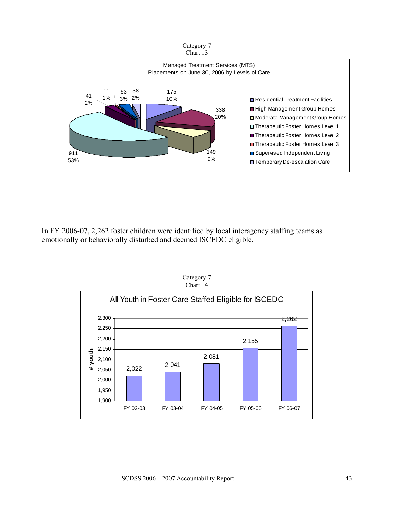



In FY 2006-07, 2,262 foster children were identified by local interagency staffing teams as emotionally or behaviorally disturbed and deemed ISCEDC eligible.



Category 7 Chart 14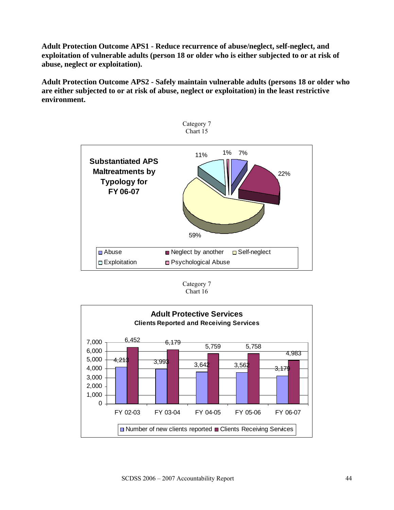**Adult Protection Outcome APS1 - Reduce recurrence of abuse/neglect, self-neglect, and exploitation of vulnerable adults (person 18 or older who is either subjected to or at risk of abuse, neglect or exploitation).** 

**Adult Protection Outcome APS2 - Safely maintain vulnerable adults (persons 18 or older who are either subjected to or at risk of abuse, neglect or exploitation) in the least restrictive environment.** 



Category 7 Chart 16

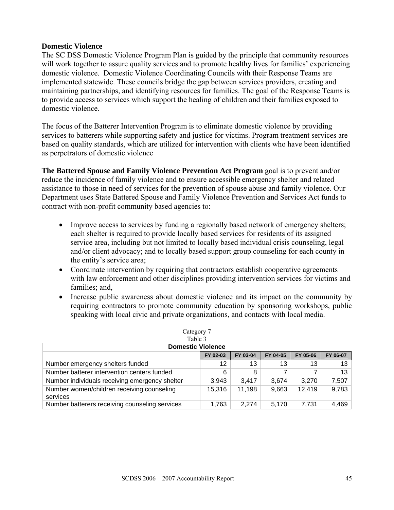#### **Domestic Violence**

The SC DSS Domestic Violence Program Plan is guided by the principle that community resources will work together to assure quality services and to promote healthy lives for families' experiencing domestic violence. Domestic Violence Coordinating Councils with their Response Teams are implemented statewide. These councils bridge the gap between services providers, creating and maintaining partnerships, and identifying resources for families. The goal of the Response Teams is to provide access to services which support the healing of children and their families exposed to domestic violence.

The focus of the Batterer Intervention Program is to eliminate domestic violence by providing services to batterers while supporting safety and justice for victims. Program treatment services are based on quality standards, which are utilized for intervention with clients who have been identified as perpetrators of domestic violence

**The Battered Spouse and Family Violence Prevention Act Program** goal is to prevent and/or reduce the incidence of family violence and to ensure accessible emergency shelter and related assistance to those in need of services for the prevention of spouse abuse and family violence. Our Department uses State Battered Spouse and Family Violence Prevention and Services Act funds to contract with non-profit community based agencies to:

- Improve access to services by funding a regionally based network of emergency shelters; each shelter is required to provide locally based services for residents of its assigned service area, including but not limited to locally based individual crisis counseling, legal and/or client advocacy; and to locally based support group counseling for each county in the entity's service area;
- Coordinate intervention by requiring that contractors establish cooperative agreements with law enforcement and other disciplines providing intervention services for victims and families; and,
- Increase public awareness about domestic violence and its impact on the community by requiring contractors to promote community education by sponsoring workshops, public speaking with local civic and private organizations, and contacts with local media.

| Category 7                                             |          |          |          |          |          |  |
|--------------------------------------------------------|----------|----------|----------|----------|----------|--|
| Table 3                                                |          |          |          |          |          |  |
| <b>Domestic Violence</b>                               |          |          |          |          |          |  |
|                                                        | FY 02-03 | FY 03-04 | FY 04-05 | FY 05-06 | FY 06-07 |  |
| Number emergency shelters funded                       | 12       | 13       | 13       | 13       | 13       |  |
| Number batterer intervention centers funded            | 6        | 8        |          | 7        | 13       |  |
| Number individuals receiving emergency shelter         | 3,943    | 3.417    | 3.674    | 3.270    | 7,507    |  |
| Number women/children receiving counseling<br>services | 15,316   | 11,198   | 9,663    | 12,419   | 9,783    |  |
| Number batterers receiving counseling services         | 1,763    | 2.274    | 5.170    | 7,731    | 4,469    |  |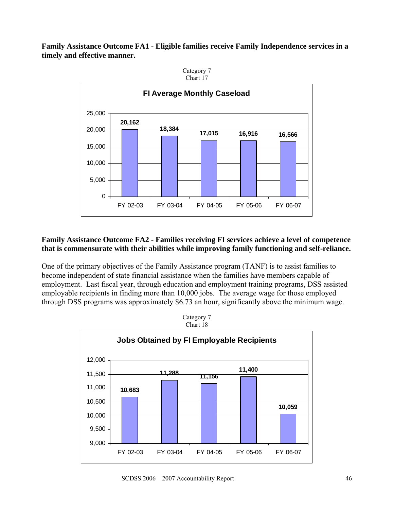**Family Assistance Outcome FA1 - Eligible families receive Family Independence services in a timely and effective manner.** 



Category 7 Chart 17

### **Family Assistance Outcome FA2 - Families receiving FI services achieve a level of competence that is commensurate with their abilities while improving family functioning and self-reliance.**

One of the primary objectives of the Family Assistance program (TANF) is to assist families to become independent of state financial assistance when the families have members capable of employment. Last fiscal year, through education and employment training programs, DSS assisted employable recipients in finding more than 10,000 jobs. The average wage for those employed through DSS programs was approximately \$6.73 an hour, significantly above the minimum wage.

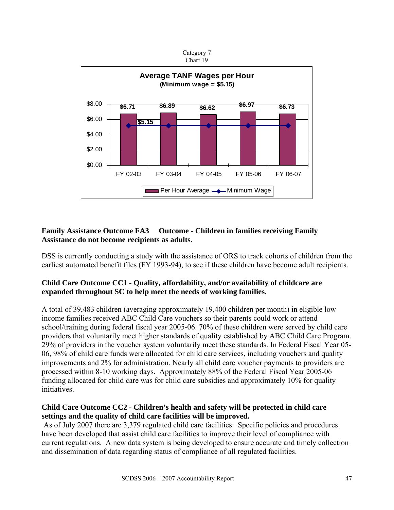

# **Family Assistance Outcome FA3 Outcome - Children in families receiving Family Assistance do not become recipients as adults.**

DSS is currently conducting a study with the assistance of ORS to track cohorts of children from the earliest automated benefit files (FY 1993-94), to see if these children have become adult recipients.

### **Child Care Outcome CC1 - Quality, affordability, and/or availability of childcare are expanded throughout SC to help meet the needs of working families.**

A total of 39,483 children (averaging approximately 19,400 children per month) in eligible low income families received ABC Child Care vouchers so their parents could work or attend school/training during federal fiscal year 2005-06. 70% of these children were served by child care providers that voluntarily meet higher standards of quality established by ABC Child Care Program. 29% of providers in the voucher system voluntarily meet these standards. In Federal Fiscal Year 05- 06, 98% of child care funds were allocated for child care services, including vouchers and quality improvements and 2% for administration. Nearly all child care voucher payments to providers are processed within 8-10 working days. Approximately 88% of the Federal Fiscal Year 2005-06 funding allocated for child care was for child care subsidies and approximately 10% for quality initiatives.

# **Child Care Outcome CC2 - Children's health and safety will be protected in child care settings and the quality of child care facilities will be improved.**

 As of July 2007 there are 3,379 regulated child care facilities. Specific policies and procedures have been developed that assist child care facilities to improve their level of compliance with current regulations. A new data system is being developed to ensure accurate and timely collection and dissemination of data regarding status of compliance of all regulated facilities.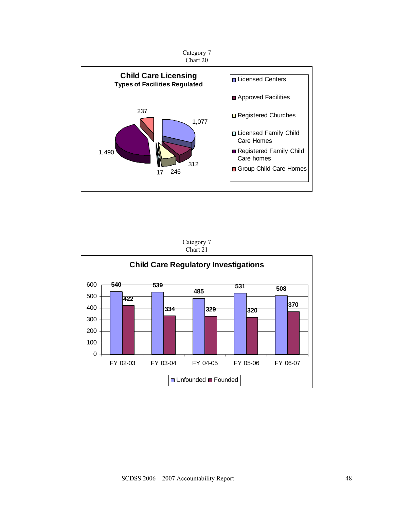

Category 7 Chart 21

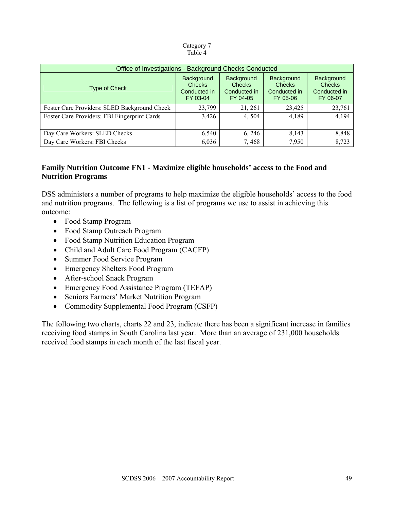#### Category 7 Table 4

| Office of Investigations - Background Checks Conducted |                                                         |                                                         |                                                                |                                                         |  |
|--------------------------------------------------------|---------------------------------------------------------|---------------------------------------------------------|----------------------------------------------------------------|---------------------------------------------------------|--|
| Type of Check                                          | Background<br><b>Checks</b><br>Conducted in<br>FY 03-04 | Background<br><b>Checks</b><br>Conducted in<br>FY 04-05 | <b>Background</b><br><b>Checks</b><br>Conducted in<br>FY 05-06 | Background<br><b>Checks</b><br>Conducted in<br>FY 06-07 |  |
| Foster Care Providers: SLED Background Check           | 23,799                                                  | 21, 261                                                 | 23,425                                                         | 23,761                                                  |  |
| Foster Care Providers: FBI Fingerprint Cards           | 3,426                                                   | 4,504                                                   | 4,189                                                          | 4,194                                                   |  |
|                                                        |                                                         |                                                         |                                                                |                                                         |  |
| Day Care Workers: SLED Checks                          | 6,540                                                   | 6, 246                                                  | 8,143                                                          | 8,848                                                   |  |
| Day Care Workers: FBI Checks                           | 6,036                                                   | 7,468                                                   | 7,950                                                          | 8,723                                                   |  |

### **Family Nutrition Outcome FN1 - Maximize eligible households' access to the Food and Nutrition Programs**

DSS administers a number of programs to help maximize the eligible households' access to the food and nutrition programs. The following is a list of programs we use to assist in achieving this outcome:

- Food Stamp Program
- Food Stamp Outreach Program
- Food Stamp Nutrition Education Program
- Child and Adult Care Food Program (CACFP)
- Summer Food Service Program
- Emergency Shelters Food Program
- After-school Snack Program
- Emergency Food Assistance Program (TEFAP)
- Seniors Farmers' Market Nutrition Program
- Commodity Supplemental Food Program (CSFP)

The following two charts, charts 22 and 23, indicate there has been a significant increase in families receiving food stamps in South Carolina last year. More than an average of 231,000 households received food stamps in each month of the last fiscal year.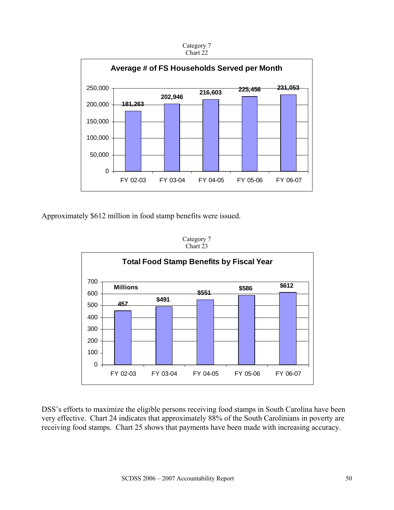

Approximately \$612 million in food stamp benefits were issued.

Category 7 Chart 23



DSS's efforts to maximize the eligible persons receiving food stamps in South Carolina have been very effective. Chart 24 indicates that approximately 88% of the South Carolinians in poverty are receiving food stamps. Chart 25 shows that payments have been made with increasing accuracy.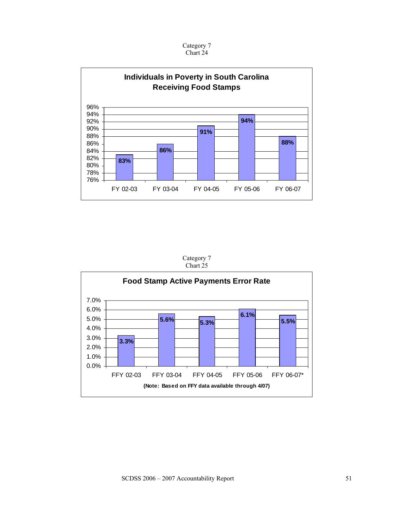



Category 7 Chart 25

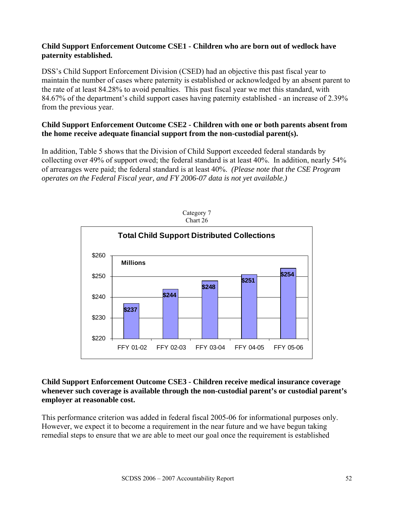### **Child Support Enforcement Outcome CSE1 - Children who are born out of wedlock have paternity established.**

DSS's Child Support Enforcement Division (CSED) had an objective this past fiscal year to maintain the number of cases where paternity is established or acknowledged by an absent parent to the rate of at least 84.28% to avoid penalties. This past fiscal year we met this standard, with 84.67% of the department's child support cases having paternity established - an increase of 2.39% from the previous year.

### **Child Support Enforcement Outcome CSE2 - Children with one or both parents absent from the home receive adequate financial support from the non-custodial parent(s).**

In addition, Table 5 shows that the Division of Child Support exceeded federal standards by collecting over 49% of support owed; the federal standard is at least 40%. In addition, nearly 54% of arrearages were paid; the federal standard is at least 40%. *(Please note that the CSE Program operates on the Federal Fiscal year, and FY 2006-07 data is not yet available.)*



### **Child Support Enforcement Outcome CSE3 - Children receive medical insurance coverage whenever such coverage is available through the non-custodial parent's or custodial parent's employer at reasonable cost.**

This performance criterion was added in federal fiscal 2005-06 for informational purposes only. However, we expect it to become a requirement in the near future and we have begun taking remedial steps to ensure that we are able to meet our goal once the requirement is established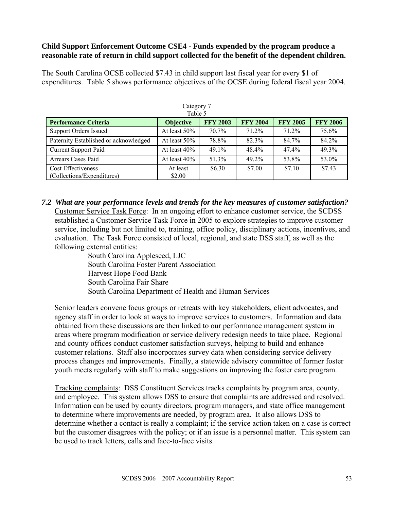### **Child Support Enforcement Outcome CSE4 - Funds expended by the program produce a reasonable rate of return in child support collected for the benefit of the dependent children.**

The South Carolina OCSE collected \$7.43 in child support last fiscal year for every \$1 of expenditures. Table 5 shows performance objectives of the OCSE during federal fiscal year 2004.

| ---- <i>-</i> -- / /<br>Table 5       |                  |                 |                 |                 |                 |
|---------------------------------------|------------------|-----------------|-----------------|-----------------|-----------------|
| <b>Performance Criteria</b>           | <b>Objective</b> | <b>FFY 2003</b> | <b>FFY 2004</b> | <b>FFY 2005</b> | <b>FFY 2006</b> |
| <b>Support Orders Issued</b>          | At least $50\%$  | $70.7\%$        | $71.2\%$        | $71.2\%$        | 75.6%           |
| Paternity Established or acknowledged | At least 50%     | 78.8%           | 82.3%           | 84.7%           | 84.2%           |
| <b>Current Support Paid</b>           | At least $40\%$  | $49.1\%$        | 48.4%           | 47.4%           | 49.3%           |
| Arrears Cases Paid                    | At least $40\%$  | 51.3%           | 49.2%           | 53.8%           | 53.0%           |
| <b>Cost Effectiveness</b>             | At least         | \$6.30          | \$7.00          | \$7.10          | \$7.43          |
| (Collections/Expenditures)            | \$2.00           |                 |                 |                 |                 |

Category 7

*7.2 What are your performance levels and trends for the key measures of customer satisfaction?*  Customer Service Task Force: In an ongoing effort to enhance customer service, the SCDSS established a Customer Service Task Force in 2005 to explore strategies to improve customer service, including but not limited to, training, office policy, disciplinary actions, incentives, and evaluation. The Task Force consisted of local, regional, and state DSS staff, as well as the following external entities:

 South Carolina Appleseed, LJC South Carolina Foster Parent Association Harvest Hope Food Bank South Carolina Fair Share South Carolina Department of Health and Human Services

Senior leaders convene focus groups or retreats with key stakeholders, client advocates, and agency staff in order to look at ways to improve services to customers. Information and data obtained from these discussions are then linked to our performance management system in areas where program modification or service delivery redesign needs to take place. Regional and county offices conduct customer satisfaction surveys, helping to build and enhance customer relations. Staff also incorporates survey data when considering service delivery process changes and improvements. Finally, a statewide advisory committee of former foster youth meets regularly with staff to make suggestions on improving the foster care program.

Tracking complaints: DSS Constituent Services tracks complaints by program area, county, and employee. This system allows DSS to ensure that complaints are addressed and resolved. Information can be used by county directors, program managers, and state office management to determine where improvements are needed, by program area. It also allows DSS to determine whether a contact is really a complaint; if the service action taken on a case is correct but the customer disagrees with the policy; or if an issue is a personnel matter. This system can be used to track letters, calls and face-to-face visits.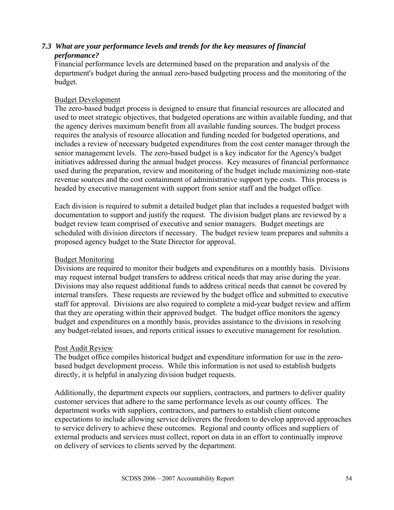### *7.3 What are your performance levels and trends for the key measures of financial performance?*

Financial performance levels are determined based on the preparation and analysis of the department's budget during the annual zero-based budgeting process and the monitoring of the budget.

### Budget Development

The zero-based budget process is designed to ensure that financial resources are allocated and used to meet strategic objectives, that budgeted operations are within available funding, and that the agency derives maximum benefit from all available funding sources. The budget process requires the analysis of resource allocation and funding needed for budgeted operations, and includes a review of necessary budgeted expenditures from the cost center manager through the senior management levels. The zero-based budget is a key indicator for the Agency's budget initiatives addressed during the annual budget process. Key measures of financial performance used during the preparation, review and monitoring of the budget include maximizing non-state revenue sources and the cost containment of administrative support type costs. This process is headed by executive management with support from senior staff and the budget office.

Each division is required to submit a detailed budget plan that includes a requested budget with documentation to support and justify the request. The division budget plans are reviewed by a budget review team comprised of executive and senior managers. Budget meetings are scheduled with division directors if necessary. The budget review team prepares and submits a proposed agency budget to the State Director for approval.

#### Budget Monitoring

Divisions are required to monitor their budgets and expenditures on a monthly basis. Divisions may request internal budget transfers to address critical needs that may arise during the year. Divisions may also request additional funds to address critical needs that cannot be covered by internal transfers. These requests are reviewed by the budget office and submitted to executive staff for approval. Divisions are also required to complete a mid-year budget review and affirm that they are operating within their approved budget. The budget office monitors the agency budget and expenditures on a monthly basis, provides assistance to the divisions in resolving any budget-related issues, and reports critical issues to executive management for resolution.

#### Post Audit Review

The budget office compiles historical budget and expenditure information for use in the zerobased budget development process. While this information is not used to establish budgets directly, it is helpful in analyzing division budget requests.

Additionally, the department expects our suppliers, contractors, and partners to deliver quality customer services that adhere to the same performance levels as our county offices. The department works with suppliers, contractors, and partners to establish client outcome expectations to include allowing service deliverers the freedom to develop approved approaches to service delivery to achieve these outcomes. Regional and county offices and suppliers of external products and services must collect, report on data in an effort to continually improve on delivery of services to clients served by the department.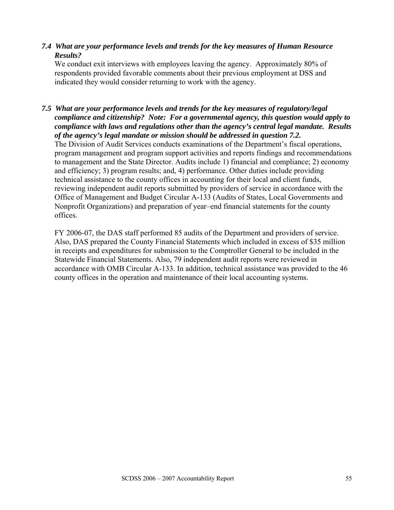### *7.4 What are your performance levels and trends for the key measures of Human Resource Results?*

We conduct exit interviews with employees leaving the agency. Approximately 80% of respondents provided favorable comments about their previous employment at DSS and indicated they would consider returning to work with the agency.

*7.5 What are your performance levels and trends for the key measures of regulatory/legal compliance and citizenship? Note: For a governmental agency, this question would apply to compliance with laws and regulations other than the agency's central legal mandate. Results of the agency's legal mandate or mission should be addressed in question 7.2.* 

The Division of Audit Services conducts examinations of the Department's fiscal operations, program management and program support activities and reports findings and recommendations to management and the State Director. Audits include 1) financial and compliance; 2) economy and efficiency; 3) program results; and, 4) performance. Other duties include providing technical assistance to the county offices in accounting for their local and client funds, reviewing independent audit reports submitted by providers of service in accordance with the Office of Management and Budget Circular A-133 (Audits of States, Local Governments and Nonprofit Organizations) and preparation of year–end financial statements for the county offices.

FY 2006-07, the DAS staff performed 85 audits of the Department and providers of service. Also, DAS prepared the County Financial Statements which included in excess of \$35 million in receipts and expenditures for submission to the Comptroller General to be included in the Statewide Financial Statements. Also, 79 independent audit reports were reviewed in accordance with OMB Circular A-133. In addition, technical assistance was provided to the 46 county offices in the operation and maintenance of their local accounting systems.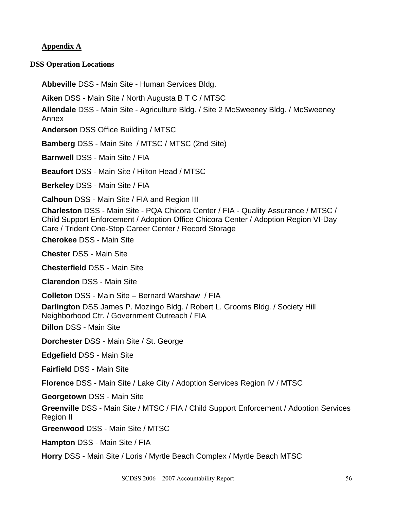### **Appendix A**

#### **DSS Operation Locations**

**Abbeville** DSS - Main Site - Human Services Bldg.

**Aiken** DSS - Main Site / North Augusta B T C / MTSC

**Allendale** DSS - Main Site - Agriculture Bldg. / Site 2 McSweeney Bldg. / McSweeney Annex

**Anderson** DSS Office Building / MTSC

**Bamberg** DSS - Main Site / MTSC / MTSC (2nd Site)

**Barnwell** DSS - Main Site / FIA

**Beaufort** DSS - Main Site / Hilton Head / MTSC

**Berkeley** DSS - Main Site / FIA

**Calhoun** DSS - Main Site / FIA and Region III

**Charleston** DSS - Main Site - PQA Chicora Center / FIA - Quality Assurance / MTSC / Child Support Enforcement / Adoption Office Chicora Center / Adoption Region VI-Day Care / Trident One-Stop Career Center / Record Storage

**Cherokee** DSS - Main Site

**Chester** DSS - Main Site

**Chesterfield** DSS - Main Site

**Clarendon** DSS - Main Site

**Colleton** DSS - Main Site – Bernard Warshaw / FIA

**Darlington** DSS James P. Mozingo Bldg. / Robert L. Grooms Bldg. / Society Hill Neighborhood Ctr. / Government Outreach / FIA

**Dillon** DSS - Main Site

**Dorchester** DSS - Main Site / St. George

**Edgefield** DSS - Main Site

**Fairfield** DSS - Main Site

**Florence** DSS - Main Site / Lake City / Adoption Services Region IV / MTSC

**Georgetown** DSS - Main Site

**Greenville** DSS - Main Site / MTSC / FIA / Child Support Enforcement / Adoption Services Region II

**Greenwood** DSS - Main Site / MTSC

**Hampton** DSS - Main Site / FIA

**Horry** DSS - Main Site / Loris / Myrtle Beach Complex / Myrtle Beach MTSC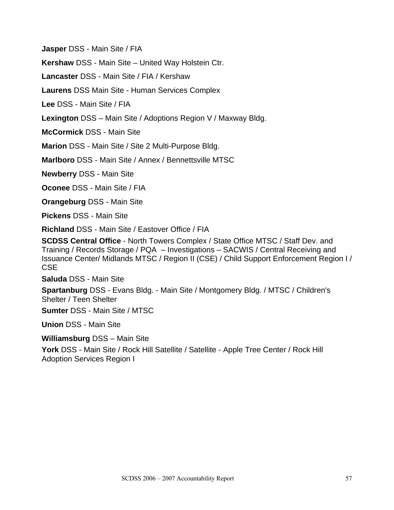**Jasper** DSS - Main Site / FIA

**Kershaw** DSS - Main Site – United Way Holstein Ctr.

**Lancaster** DSS - Main Site / FIA / Kershaw

**Laurens** DSS Main Site - Human Services Complex

**Lee** DSS - Main Site / FIA

**Lexington** DSS – Main Site / Adoptions Region V / Maxway Bldg.

**McCormick** DSS - Main Site

**Marion** DSS - Main Site / Site 2 Multi-Purpose Bldg.

**Marlboro** DSS - Main Site / Annex / Bennettsville MTSC

**Newberry** DSS - Main Site

**Oconee** DSS - Main Site / FIA

**Orangeburg** DSS - Main Site

**Pickens** DSS - Main Site

**Richland** DSS - Main Site / Eastover Office / FIA

**SCDSS Central Office** - North Towers Complex / State Office MTSC / Staff Dev. and Training / Records Storage / PQA – Investigations – SACWIS / Central Receiving and Issuance Center/ Midlands MTSC / Region II (CSE) / Child Support Enforcement Region I / **CSE** 

**Saluda** DSS - Main Site

**Spartanburg** DSS - Evans Bldg. - Main Site / Montgomery Bldg. / MTSC / Children's Shelter / Teen Shelter

**Sumter** DSS - Main Site / MTSC

**Union** DSS - Main Site

**Williamsburg** DSS – Main Site

York DSS - Main Site / Rock Hill Satellite / Satellite - Apple Tree Center / Rock Hill Adoption Services Region I